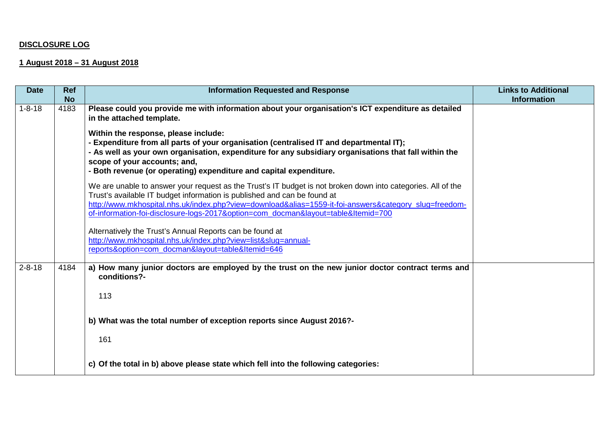## **DISCLOSURE LOG**

## **1 August 2018 – 31 August 2018**

| <b>Date</b>  | <b>Ref</b><br><b>No</b> | <b>Information Requested and Response</b>                                                                                                                                                                                                                                                                                                                                              | <b>Links to Additional</b><br><b>Information</b> |
|--------------|-------------------------|----------------------------------------------------------------------------------------------------------------------------------------------------------------------------------------------------------------------------------------------------------------------------------------------------------------------------------------------------------------------------------------|--------------------------------------------------|
| $1 - 8 - 18$ | 4183                    | Please could you provide me with information about your organisation's ICT expenditure as detailed<br>in the attached template.                                                                                                                                                                                                                                                        |                                                  |
|              |                         | Within the response, please include:<br>- Expenditure from all parts of your organisation (centralised IT and departmental IT);<br>- As well as your own organisation, expenditure for any subsidiary organisations that fall within the<br>scope of your accounts; and,<br>- Both revenue (or operating) expenditure and capital expenditure.                                         |                                                  |
|              |                         | We are unable to answer your request as the Trust's IT budget is not broken down into categories. All of the<br>Trust's available IT budget information is published and can be found at<br>http://www.mkhospital.nhs.uk/index.php?view=download&alias=1559-it-foi-answers&category_slug=freedom-<br>of-information-foi-disclosure-logs-2017&option=com_docman&layout=table&Itemid=700 |                                                  |
|              |                         | Alternatively the Trust's Annual Reports can be found at<br>http://www.mkhospital.nhs.uk/index.php?view=list&slug=annual-<br>reports&option=com docman&layout=table&Itemid=646                                                                                                                                                                                                         |                                                  |
| $2 - 8 - 18$ | 4184                    | a) How many junior doctors are employed by the trust on the new junior doctor contract terms and<br>conditions?-<br>113                                                                                                                                                                                                                                                                |                                                  |
|              |                         | b) What was the total number of exception reports since August 2016?-<br>161                                                                                                                                                                                                                                                                                                           |                                                  |
|              |                         | c) Of the total in b) above please state which fell into the following categories:                                                                                                                                                                                                                                                                                                     |                                                  |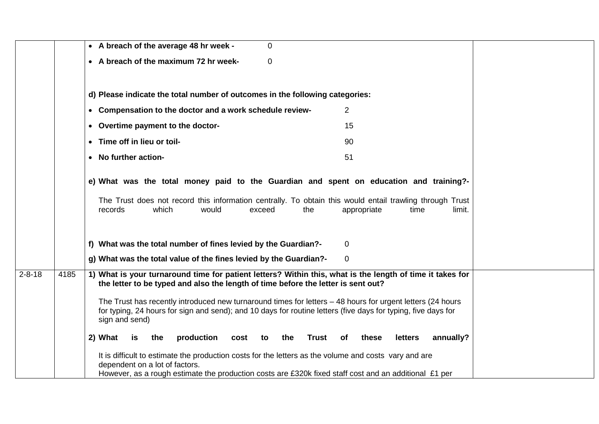|              |      | • A breach of the average 48 hr week -<br>$\overline{0}$                                                                                                                                |
|--------------|------|-----------------------------------------------------------------------------------------------------------------------------------------------------------------------------------------|
|              |      | • A breach of the maximum 72 hr week-<br>0                                                                                                                                              |
|              |      |                                                                                                                                                                                         |
|              |      | d) Please indicate the total number of outcomes in the following categories:                                                                                                            |
|              |      | • Compensation to the doctor and a work schedule review-<br>$\overline{2}$                                                                                                              |
|              |      | • Overtime payment to the doctor-<br>15                                                                                                                                                 |
|              |      | • Time off in lieu or toil-<br>90                                                                                                                                                       |
|              |      | • No further action-<br>51                                                                                                                                                              |
|              |      | e) What was the total money paid to the Guardian and spent on education and training?-                                                                                                  |
|              |      |                                                                                                                                                                                         |
|              |      | The Trust does not record this information centrally. To obtain this would entail trawling through Trust<br>records<br>which<br>would<br>exceed<br>the<br>appropriate<br>time<br>limit. |
|              |      |                                                                                                                                                                                         |
|              |      | f) What was the total number of fines levied by the Guardian?-<br>$\overline{0}$                                                                                                        |
|              |      | g) What was the total value of the fines levied by the Guardian?-<br>$\mathbf{0}$                                                                                                       |
| $2 - 8 - 18$ | 4185 | 1) What is your turnaround time for patient letters? Within this, what is the length of time it takes for                                                                               |
|              |      | the letter to be typed and also the length of time before the letter is sent out?                                                                                                       |
|              |      | The Trust has recently introduced new turnaround times for letters - 48 hours for urgent letters (24 hours                                                                              |
|              |      | for typing, 24 hours for sign and send); and 10 days for routine letters (five days for typing, five days for<br>sign and send)                                                         |
|              |      |                                                                                                                                                                                         |
|              |      | production<br>2) What<br>the<br>Trust of<br>these<br>letters<br>annually?<br>is<br>cost<br>the<br>to                                                                                    |
|              |      | It is difficult to estimate the production costs for the letters as the volume and costs vary and are<br>dependent on a lot of factors.                                                 |
|              |      | However, as a rough estimate the production costs are £320k fixed staff cost and an additional £1 per                                                                                   |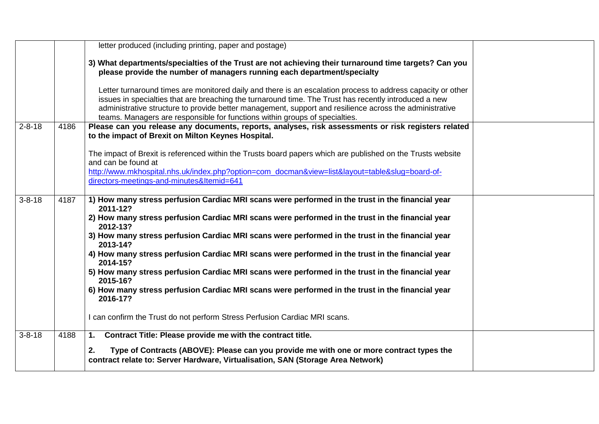|              |      | letter produced (including printing, paper and postage)                                                                                                                                                                                                                                                                                                                                                        |  |
|--------------|------|----------------------------------------------------------------------------------------------------------------------------------------------------------------------------------------------------------------------------------------------------------------------------------------------------------------------------------------------------------------------------------------------------------------|--|
|              |      | 3) What departments/specialties of the Trust are not achieving their turnaround time targets? Can you<br>please provide the number of managers running each department/specialty                                                                                                                                                                                                                               |  |
|              |      | Letter turnaround times are monitored daily and there is an escalation process to address capacity or other<br>issues in specialties that are breaching the turnaround time. The Trust has recently introduced a new<br>administrative structure to provide better management, support and resilience across the administrative<br>teams. Managers are responsible for functions within groups of specialties. |  |
| $2 - 8 - 18$ | 4186 | Please can you release any documents, reports, analyses, risk assessments or risk registers related<br>to the impact of Brexit on Milton Keynes Hospital.                                                                                                                                                                                                                                                      |  |
|              |      | The impact of Brexit is referenced within the Trusts board papers which are published on the Trusts website<br>and can be found at                                                                                                                                                                                                                                                                             |  |
|              |      | http://www.mkhospital.nhs.uk/index.php?option=com_docman&view=list&layout=table&slug=board-of-<br>directors-meetings-and-minutes&Itemid=641                                                                                                                                                                                                                                                                    |  |
| $3 - 8 - 18$ | 4187 | 1) How many stress perfusion Cardiac MRI scans were performed in the trust in the financial year<br>2011-12?                                                                                                                                                                                                                                                                                                   |  |
|              |      | 2) How many stress perfusion Cardiac MRI scans were performed in the trust in the financial year<br>2012-13?                                                                                                                                                                                                                                                                                                   |  |
|              |      | 3) How many stress perfusion Cardiac MRI scans were performed in the trust in the financial year<br>2013-14?                                                                                                                                                                                                                                                                                                   |  |
|              |      | 4) How many stress perfusion Cardiac MRI scans were performed in the trust in the financial year<br>2014-15?                                                                                                                                                                                                                                                                                                   |  |
|              |      | 5) How many stress perfusion Cardiac MRI scans were performed in the trust in the financial year<br>2015-16?                                                                                                                                                                                                                                                                                                   |  |
|              |      | 6) How many stress perfusion Cardiac MRI scans were performed in the trust in the financial year<br>2016-17?                                                                                                                                                                                                                                                                                                   |  |
|              |      | I can confirm the Trust do not perform Stress Perfusion Cardiac MRI scans.                                                                                                                                                                                                                                                                                                                                     |  |
| $3 - 8 - 18$ | 4188 | Contract Title: Please provide me with the contract title.<br>1.                                                                                                                                                                                                                                                                                                                                               |  |
|              |      | Type of Contracts (ABOVE): Please can you provide me with one or more contract types the<br>2.<br>contract relate to: Server Hardware, Virtualisation, SAN (Storage Area Network)                                                                                                                                                                                                                              |  |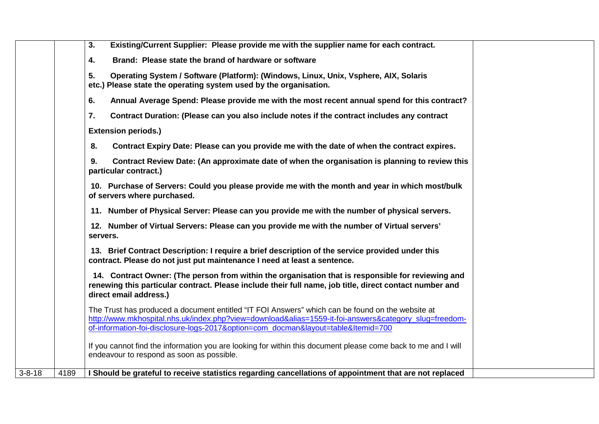|              |      | Existing/Current Supplier: Please provide me with the supplier name for each contract.<br>3.                                                                                                                                                                                                   |
|--------------|------|------------------------------------------------------------------------------------------------------------------------------------------------------------------------------------------------------------------------------------------------------------------------------------------------|
|              |      | 4.<br>Brand: Please state the brand of hardware or software                                                                                                                                                                                                                                    |
|              |      | 5.<br>Operating System / Software (Platform): (Windows, Linux, Unix, Vsphere, AIX, Solaris<br>etc.) Please state the operating system used by the organisation.                                                                                                                                |
|              |      | Annual Average Spend: Please provide me with the most recent annual spend for this contract?<br>6.                                                                                                                                                                                             |
|              |      | 7.<br>Contract Duration: (Please can you also include notes if the contract includes any contract                                                                                                                                                                                              |
|              |      | <b>Extension periods.)</b>                                                                                                                                                                                                                                                                     |
|              |      | 8.<br>Contract Expiry Date: Please can you provide me with the date of when the contract expires.                                                                                                                                                                                              |
|              |      | Contract Review Date: (An approximate date of when the organisation is planning to review this<br>9.<br>particular contract.)                                                                                                                                                                  |
|              |      | 10. Purchase of Servers: Could you please provide me with the month and year in which most/bulk<br>of servers where purchased.                                                                                                                                                                 |
|              |      | 11. Number of Physical Server: Please can you provide me with the number of physical servers.                                                                                                                                                                                                  |
|              |      | 12. Number of Virtual Servers: Please can you provide me with the number of Virtual servers'<br>servers.                                                                                                                                                                                       |
|              |      | 13. Brief Contract Description: I require a brief description of the service provided under this<br>contract. Please do not just put maintenance I need at least a sentence.                                                                                                                   |
|              |      | 14. Contract Owner: (The person from within the organisation that is responsible for reviewing and<br>renewing this particular contract. Please include their full name, job title, direct contact number and<br>direct email address.)                                                        |
|              |      | The Trust has produced a document entitled "IT FOI Answers" which can be found on the website at<br>http://www.mkhospital.nhs.uk/index.php?view=download&alias=1559-it-foi-answers&category_slug=freedom-<br>of-information-foi-disclosure-logs-2017&option=com_docman&layout=table&Itemid=700 |
|              |      | If you cannot find the information you are looking for within this document please come back to me and I will<br>endeavour to respond as soon as possible.                                                                                                                                     |
| $3 - 8 - 18$ | 4189 | I Should be grateful to receive statistics regarding cancellations of appointment that are not replaced                                                                                                                                                                                        |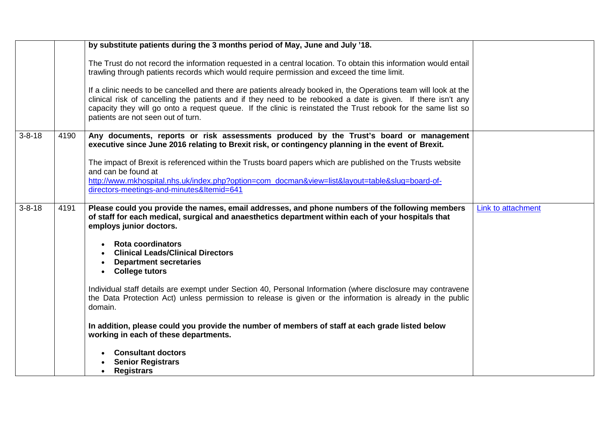|              |      | by substitute patients during the 3 months period of May, June and July '18.                                                                                                                                                                                                                                                                                                            |                    |
|--------------|------|-----------------------------------------------------------------------------------------------------------------------------------------------------------------------------------------------------------------------------------------------------------------------------------------------------------------------------------------------------------------------------------------|--------------------|
|              |      | The Trust do not record the information requested in a central location. To obtain this information would entail<br>trawling through patients records which would require permission and exceed the time limit.                                                                                                                                                                         |                    |
|              |      | If a clinic needs to be cancelled and there are patients already booked in, the Operations team will look at the<br>clinical risk of cancelling the patients and if they need to be rebooked a date is given. If there isn't any<br>capacity they will go onto a request queue. If the clinic is reinstated the Trust rebook for the same list so<br>patients are not seen out of turn. |                    |
| $3 - 8 - 18$ | 4190 | Any documents, reports or risk assessments produced by the Trust's board or management<br>executive since June 2016 relating to Brexit risk, or contingency planning in the event of Brexit.                                                                                                                                                                                            |                    |
|              |      | The impact of Brexit is referenced within the Trusts board papers which are published on the Trusts website<br>and can be found at                                                                                                                                                                                                                                                      |                    |
|              |      | http://www.mkhospital.nhs.uk/index.php?option=com_docman&view=list&layout=table&slug=board-of-<br>directors-meetings-and-minutes&Itemid=641                                                                                                                                                                                                                                             |                    |
| $3 - 8 - 18$ | 4191 | Please could you provide the names, email addresses, and phone numbers of the following members<br>of staff for each medical, surgical and anaesthetics department within each of your hospitals that<br>employs junior doctors.                                                                                                                                                        | Link to attachment |
|              |      | <b>Rota coordinators</b><br><b>Clinical Leads/Clinical Directors</b><br><b>Department secretaries</b><br>$\bullet$<br><b>College tutors</b><br>$\bullet$                                                                                                                                                                                                                                |                    |
|              |      | Individual staff details are exempt under Section 40, Personal Information (where disclosure may contravene<br>the Data Protection Act) unless permission to release is given or the information is already in the public<br>domain.                                                                                                                                                    |                    |
|              |      | In addition, please could you provide the number of members of staff at each grade listed below<br>working in each of these departments.                                                                                                                                                                                                                                                |                    |
|              |      | <b>Consultant doctors</b><br><b>Senior Registrars</b><br><b>Registrars</b><br>$\bullet$                                                                                                                                                                                                                                                                                                 |                    |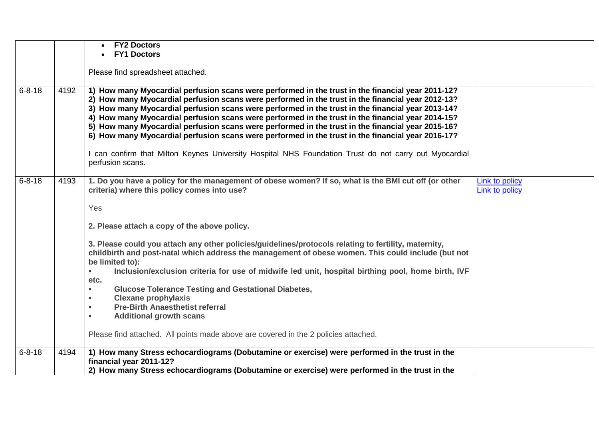|              |      | <b>FY2 Doctors</b><br><b>FY1 Doctors</b>                                                                                                                                                                                                                                                                                                                                                                                                                                                                                                                                                                                   |                                         |
|--------------|------|----------------------------------------------------------------------------------------------------------------------------------------------------------------------------------------------------------------------------------------------------------------------------------------------------------------------------------------------------------------------------------------------------------------------------------------------------------------------------------------------------------------------------------------------------------------------------------------------------------------------------|-----------------------------------------|
|              |      | Please find spreadsheet attached.                                                                                                                                                                                                                                                                                                                                                                                                                                                                                                                                                                                          |                                         |
| $6 - 8 - 18$ | 4192 | 1) How many Myocardial perfusion scans were performed in the trust in the financial year 2011-12?<br>2) How many Myocardial perfusion scans were performed in the trust in the financial year 2012-13?<br>3) How many Myocardial perfusion scans were performed in the trust in the financial year 2013-14?<br>4) How many Myocardial perfusion scans were performed in the trust in the financial year 2014-15?<br>5) How many Myocardial perfusion scans were performed in the trust in the financial year 2015-16?<br>6) How many Myocardial perfusion scans were performed in the trust in the financial year 2016-17? |                                         |
|              |      | can confirm that Milton Keynes University Hospital NHS Foundation Trust do not carry out Myocardial<br>perfusion scans.                                                                                                                                                                                                                                                                                                                                                                                                                                                                                                    |                                         |
| $6 - 8 - 18$ | 4193 | 1. Do you have a policy for the management of obese women? If so, what is the BMI cut off (or other<br>criteria) where this policy comes into use?                                                                                                                                                                                                                                                                                                                                                                                                                                                                         | <b>Link to policy</b><br>Link to policy |
|              |      | Yes                                                                                                                                                                                                                                                                                                                                                                                                                                                                                                                                                                                                                        |                                         |
|              |      | 2. Please attach a copy of the above policy.                                                                                                                                                                                                                                                                                                                                                                                                                                                                                                                                                                               |                                         |
|              |      | 3. Please could you attach any other policies/guidelines/protocols relating to fertility, maternity,<br>childbirth and post-natal which address the management of obese women. This could include (but not<br>be limited to):                                                                                                                                                                                                                                                                                                                                                                                              |                                         |
|              |      | Inclusion/exclusion criteria for use of midwife led unit, hospital birthing pool, home birth, IVF<br>$\blacksquare$<br>etc.                                                                                                                                                                                                                                                                                                                                                                                                                                                                                                |                                         |
|              |      | <b>Glucose Tolerance Testing and Gestational Diabetes,</b><br>$\blacksquare$<br><b>Clexane prophylaxis</b><br>$\blacksquare$                                                                                                                                                                                                                                                                                                                                                                                                                                                                                               |                                         |
|              |      | <b>Pre-Birth Anaesthetist referral</b><br>$\mathbf{r}$<br><b>Additional growth scans</b><br>$\mathbf{u}$                                                                                                                                                                                                                                                                                                                                                                                                                                                                                                                   |                                         |
|              |      | Please find attached. All points made above are covered in the 2 policies attached.                                                                                                                                                                                                                                                                                                                                                                                                                                                                                                                                        |                                         |
| $6 - 8 - 18$ | 4194 | 1) How many Stress echocardiograms (Dobutamine or exercise) were performed in the trust in the<br>financial year 2011-12?<br>2) How many Stress echocardiograms (Dobutamine or exercise) were performed in the trust in the                                                                                                                                                                                                                                                                                                                                                                                                |                                         |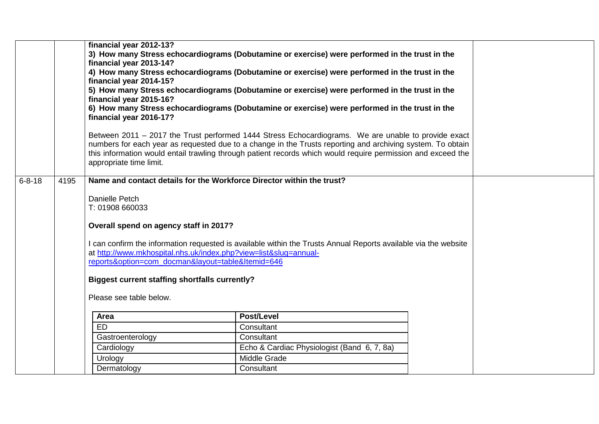|              |      | financial year 2012-13?<br>financial year 2013-14?<br>financial year 2014-15?<br>financial year 2015-16?<br>financial year 2016-17? | 3) How many Stress echocardiograms (Dobutamine or exercise) were performed in the trust in the<br>4) How many Stress echocardiograms (Dobutamine or exercise) were performed in the trust in the<br>5) How many Stress echocardiograms (Dobutamine or exercise) were performed in the trust in the<br>6) How many Stress echocardiograms (Dobutamine or exercise) were performed in the trust in the |  |
|--------------|------|-------------------------------------------------------------------------------------------------------------------------------------|------------------------------------------------------------------------------------------------------------------------------------------------------------------------------------------------------------------------------------------------------------------------------------------------------------------------------------------------------------------------------------------------------|--|
|              |      | appropriate time limit.                                                                                                             | Between 2011 – 2017 the Trust performed 1444 Stress Echocardiograms. We are unable to provide exact<br>numbers for each year as requested due to a change in the Trusts reporting and archiving system. To obtain<br>this information would entail trawling through patient records which would require permission and exceed the                                                                    |  |
| $6 - 8 - 18$ | 4195 |                                                                                                                                     | Name and contact details for the Workforce Director within the trust?                                                                                                                                                                                                                                                                                                                                |  |
|              |      | Danielle Petch<br>T: 01908 660033                                                                                                   |                                                                                                                                                                                                                                                                                                                                                                                                      |  |
|              |      | Overall spend on agency staff in 2017?                                                                                              |                                                                                                                                                                                                                                                                                                                                                                                                      |  |
|              |      | reports&option=com_docman&layout=table&Itemid=646<br><b>Biggest current staffing shortfalls currently?</b>                          | I can confirm the information requested is available within the Trusts Annual Reports available via the website<br>at http://www.mkhospital.nhs.uk/index.php?view=list&slug=annual-                                                                                                                                                                                                                  |  |
|              |      | Please see table below.                                                                                                             |                                                                                                                                                                                                                                                                                                                                                                                                      |  |
|              |      | Area                                                                                                                                | <b>Post/Level</b>                                                                                                                                                                                                                                                                                                                                                                                    |  |
|              |      | <b>ED</b>                                                                                                                           | Consultant                                                                                                                                                                                                                                                                                                                                                                                           |  |
|              |      | Gastroenterology                                                                                                                    | Consultant                                                                                                                                                                                                                                                                                                                                                                                           |  |
|              |      | Cardiology                                                                                                                          | Echo & Cardiac Physiologist (Band 6, 7, 8a)                                                                                                                                                                                                                                                                                                                                                          |  |
|              |      | Urology                                                                                                                             | Middle Grade                                                                                                                                                                                                                                                                                                                                                                                         |  |
|              |      | Dermatology                                                                                                                         | Consultant                                                                                                                                                                                                                                                                                                                                                                                           |  |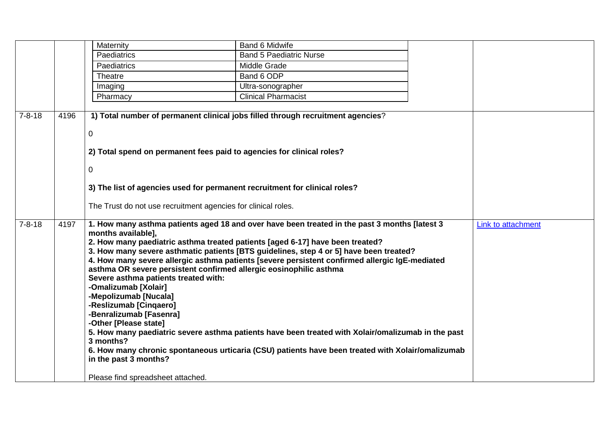|              |      | Maternity                                                                  | Band 6 Midwife                                                                                                                                                          |                    |
|--------------|------|----------------------------------------------------------------------------|-------------------------------------------------------------------------------------------------------------------------------------------------------------------------|--------------------|
|              |      | Paediatrics                                                                | <b>Band 5 Paediatric Nurse</b>                                                                                                                                          |                    |
|              |      | <b>Paediatrics</b>                                                         | Middle Grade                                                                                                                                                            |                    |
|              |      | Theatre                                                                    | Band 6 ODP                                                                                                                                                              |                    |
|              |      | Imaging                                                                    | Ultra-sonographer                                                                                                                                                       |                    |
|              |      | Pharmacy                                                                   | <b>Clinical Pharmacist</b>                                                                                                                                              |                    |
|              |      |                                                                            |                                                                                                                                                                         |                    |
| $7 - 8 - 18$ | 4196 |                                                                            | 1) Total number of permanent clinical jobs filled through recruitment agencies?                                                                                         |                    |
|              |      | $\mathbf 0$                                                                |                                                                                                                                                                         |                    |
|              |      |                                                                            |                                                                                                                                                                         |                    |
|              |      | 2) Total spend on permanent fees paid to agencies for clinical roles?      |                                                                                                                                                                         |                    |
|              |      |                                                                            |                                                                                                                                                                         |                    |
|              |      | $\mathbf 0$                                                                |                                                                                                                                                                         |                    |
|              |      |                                                                            |                                                                                                                                                                         |                    |
|              |      | 3) The list of agencies used for permanent recruitment for clinical roles? |                                                                                                                                                                         |                    |
|              |      | The Trust do not use recruitment agencies for clinical roles.              |                                                                                                                                                                         |                    |
|              |      |                                                                            |                                                                                                                                                                         |                    |
| $7 - 8 - 18$ | 4197 |                                                                            | 1. How many asthma patients aged 18 and over have been treated in the past 3 months [latest 3                                                                           | Link to attachment |
|              |      | months available],                                                         |                                                                                                                                                                         |                    |
|              |      |                                                                            | 2. How many paediatric asthma treated patients [aged 6-17] have been treated?<br>3. How many severe asthmatic patients [BTS guidelines, step 4 or 5] have been treated? |                    |
|              |      |                                                                            | 4. How many severe allergic asthma patients [severe persistent confirmed allergic IgE-mediated                                                                          |                    |
|              |      | asthma OR severe persistent confirmed allergic eosinophilic asthma         |                                                                                                                                                                         |                    |
|              |      | Severe asthma patients treated with:                                       |                                                                                                                                                                         |                    |
|              |      | -Omalizumab [Xolair]                                                       |                                                                                                                                                                         |                    |
|              |      | -Mepolizumab [Nucala]                                                      |                                                                                                                                                                         |                    |
|              |      | -Reslizumab [Cinqaero]                                                     |                                                                                                                                                                         |                    |
|              |      | -Benralizumab [Fasenra]<br>-Other [Please state]                           |                                                                                                                                                                         |                    |
|              |      |                                                                            | 5. How many paediatric severe asthma patients have been treated with Xolair/omalizumab in the past                                                                      |                    |
|              |      | 3 months?                                                                  |                                                                                                                                                                         |                    |
|              |      |                                                                            | 6. How many chronic spontaneous urticaria (CSU) patients have been treated with Xolair/omalizumab                                                                       |                    |
|              |      | in the past 3 months?                                                      |                                                                                                                                                                         |                    |
|              |      |                                                                            |                                                                                                                                                                         |                    |
|              |      | Please find spreadsheet attached.                                          |                                                                                                                                                                         |                    |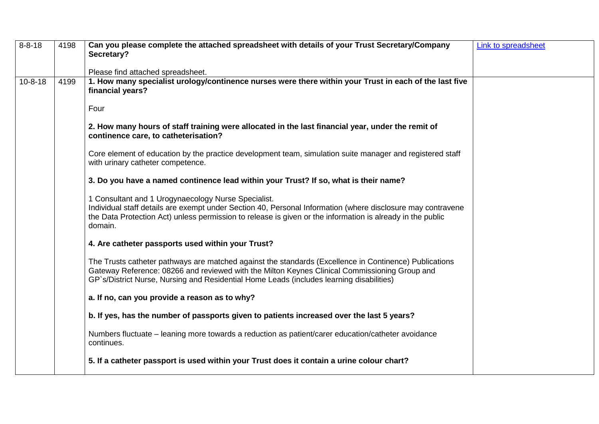| $8 - 8 - 18$  | 4198 | Can you please complete the attached spreadsheet with details of your Trust Secretary/Company<br>Secretary?                                                                                                                                                                                         | Link to spreadsheet |
|---------------|------|-----------------------------------------------------------------------------------------------------------------------------------------------------------------------------------------------------------------------------------------------------------------------------------------------------|---------------------|
|               |      |                                                                                                                                                                                                                                                                                                     |                     |
|               |      | Please find attached spreadsheet.                                                                                                                                                                                                                                                                   |                     |
| $10 - 8 - 18$ | 4199 | 1. How many specialist urology/continence nurses were there within your Trust in each of the last five<br>financial years?                                                                                                                                                                          |                     |
|               |      | Four                                                                                                                                                                                                                                                                                                |                     |
|               |      | 2. How many hours of staff training were allocated in the last financial year, under the remit of<br>continence care, to catheterisation?                                                                                                                                                           |                     |
|               |      | Core element of education by the practice development team, simulation suite manager and registered staff<br>with urinary catheter competence.                                                                                                                                                      |                     |
|               |      | 3. Do you have a named continence lead within your Trust? If so, what is their name?                                                                                                                                                                                                                |                     |
|               |      | 1 Consultant and 1 Urogynaecology Nurse Specialist.<br>Individual staff details are exempt under Section 40, Personal Information (where disclosure may contravene<br>the Data Protection Act) unless permission to release is given or the information is already in the public<br>domain.         |                     |
|               |      | 4. Are catheter passports used within your Trust?                                                                                                                                                                                                                                                   |                     |
|               |      | The Trusts catheter pathways are matched against the standards (Excellence in Continence) Publications<br>Gateway Reference: 08266 and reviewed with the Milton Keynes Clinical Commissioning Group and<br>GP's/District Nurse, Nursing and Residential Home Leads (includes learning disabilities) |                     |
|               |      | a. If no, can you provide a reason as to why?                                                                                                                                                                                                                                                       |                     |
|               |      | b. If yes, has the number of passports given to patients increased over the last 5 years?                                                                                                                                                                                                           |                     |
|               |      | Numbers fluctuate – leaning more towards a reduction as patient/carer education/catheter avoidance<br>continues.                                                                                                                                                                                    |                     |
|               |      | 5. If a catheter passport is used within your Trust does it contain a urine colour chart?                                                                                                                                                                                                           |                     |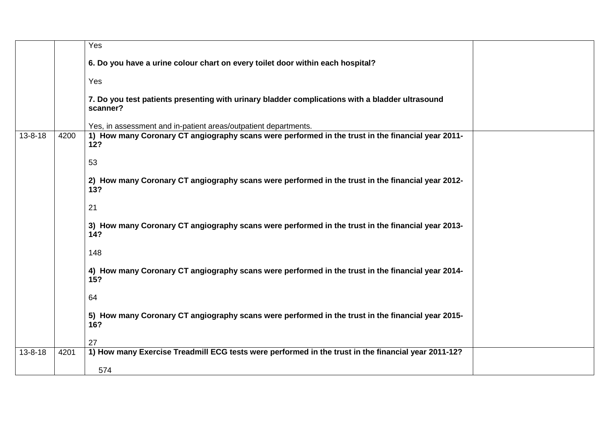|               |      | Yes                                                                                                         |  |
|---------------|------|-------------------------------------------------------------------------------------------------------------|--|
|               |      | 6. Do you have a urine colour chart on every toilet door within each hospital?                              |  |
|               |      | Yes                                                                                                         |  |
|               |      | 7. Do you test patients presenting with urinary bladder complications with a bladder ultrasound<br>scanner? |  |
|               |      | Yes, in assessment and in-patient areas/outpatient departments.                                             |  |
| $13 - 8 - 18$ | 4200 | 1) How many Coronary CT angiography scans were performed in the trust in the financial year 2011-<br>12?    |  |
|               |      | 53                                                                                                          |  |
|               |      | 2) How many Coronary CT angiography scans were performed in the trust in the financial year 2012-<br>13?    |  |
|               |      | 21                                                                                                          |  |
|               |      | 3) How many Coronary CT angiography scans were performed in the trust in the financial year 2013-<br>14?    |  |
|               |      | 148                                                                                                         |  |
|               |      | 4) How many Coronary CT angiography scans were performed in the trust in the financial year 2014-<br>15?    |  |
|               |      | 64                                                                                                          |  |
|               |      | 5) How many Coronary CT angiography scans were performed in the trust in the financial year 2015-<br>16?    |  |
|               |      | 27                                                                                                          |  |
| $13 - 8 - 18$ | 4201 | 1) How many Exercise Treadmill ECG tests were performed in the trust in the financial year 2011-12?         |  |
|               |      | 574                                                                                                         |  |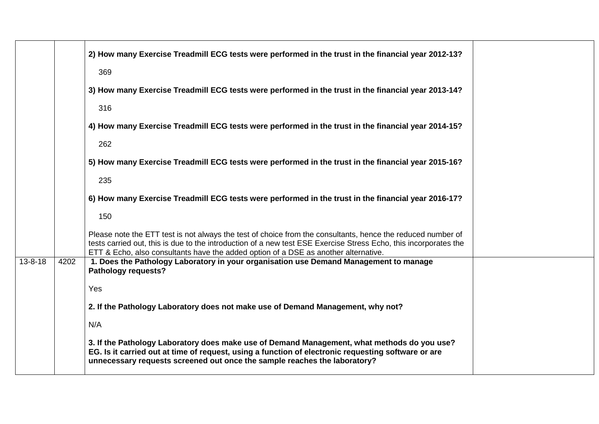|               |      | 2) How many Exercise Treadmill ECG tests were performed in the trust in the financial year 2012-13?                                                                                                                                                                                                                    |
|---------------|------|------------------------------------------------------------------------------------------------------------------------------------------------------------------------------------------------------------------------------------------------------------------------------------------------------------------------|
|               |      | 369                                                                                                                                                                                                                                                                                                                    |
|               |      | 3) How many Exercise Treadmill ECG tests were performed in the trust in the financial year 2013-14?                                                                                                                                                                                                                    |
|               |      | 316                                                                                                                                                                                                                                                                                                                    |
|               |      | 4) How many Exercise Treadmill ECG tests were performed in the trust in the financial year 2014-15?                                                                                                                                                                                                                    |
|               |      | 262                                                                                                                                                                                                                                                                                                                    |
|               |      | 5) How many Exercise Treadmill ECG tests were performed in the trust in the financial year 2015-16?                                                                                                                                                                                                                    |
|               |      | 235                                                                                                                                                                                                                                                                                                                    |
|               |      | 6) How many Exercise Treadmill ECG tests were performed in the trust in the financial year 2016-17?                                                                                                                                                                                                                    |
|               |      | 150                                                                                                                                                                                                                                                                                                                    |
|               |      | Please note the ETT test is not always the test of choice from the consultants, hence the reduced number of<br>tests carried out, this is due to the introduction of a new test ESE Exercise Stress Echo, this incorporates the<br>ETT & Echo, also consultants have the added option of a DSE as another alternative. |
| $13 - 8 - 18$ | 4202 | 1. Does the Pathology Laboratory in your organisation use Demand Management to manage<br><b>Pathology requests?</b>                                                                                                                                                                                                    |
|               |      | Yes                                                                                                                                                                                                                                                                                                                    |
|               |      | 2. If the Pathology Laboratory does not make use of Demand Management, why not?                                                                                                                                                                                                                                        |
|               |      | N/A                                                                                                                                                                                                                                                                                                                    |
|               |      | 3. If the Pathology Laboratory does make use of Demand Management, what methods do you use?<br>EG. Is it carried out at time of request, using a function of electronic requesting software or are<br>unnecessary requests screened out once the sample reaches the laboratory?                                        |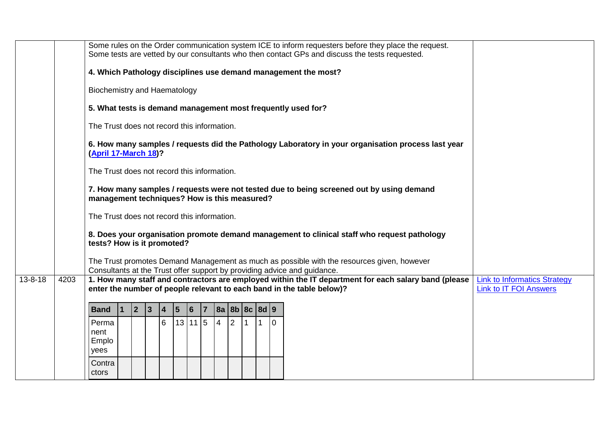|               |      | Some rules on the Order communication system ICE to inform requesters before they place the request.<br>Some tests are vetted by our consultants who then contact GPs and discuss the tests requested. |
|---------------|------|--------------------------------------------------------------------------------------------------------------------------------------------------------------------------------------------------------|
|               |      | 4. Which Pathology disciplines use demand management the most?                                                                                                                                         |
|               |      | <b>Biochemistry and Haematology</b>                                                                                                                                                                    |
|               |      | 5. What tests is demand management most frequently used for?                                                                                                                                           |
|               |      | The Trust does not record this information.                                                                                                                                                            |
|               |      | 6. How many samples / requests did the Pathology Laboratory in your organisation process last year<br>(April 17-March 18)?                                                                             |
|               |      | The Trust does not record this information.                                                                                                                                                            |
|               |      | 7. How many samples / requests were not tested due to being screened out by using demand<br>management techniques? How is this measured?                                                               |
|               |      | The Trust does not record this information.                                                                                                                                                            |
|               |      | 8. Does your organisation promote demand management to clinical staff who request pathology<br>tests? How is it promoted?                                                                              |
|               |      | The Trust promotes Demand Management as much as possible with the resources given, however<br>Consultants at the Trust offer support by providing advice and guidance.                                 |
| $13 - 8 - 18$ | 4203 | 1. How many staff and contractors are employed within the IT department for each salary band (please<br><b>Link to Informatics Strategy</b>                                                            |
|               |      | enter the number of people relevant to each band in the table below)?<br><b>Link to IT FOI Answers</b>                                                                                                 |
|               |      | $ 2\rangle$<br> 3 <br>8a 8b 8c 8d 9<br><b>Band</b><br>$\vert 4 \vert$<br>$\vert 5 \vert$<br>$\vert$ 1<br>$ 6\rangle$<br>$\overline{7}$                                                                 |
|               |      | 6<br>13 11 5<br>$\overline{4}$<br>$\overline{2}$<br>Perma<br>$\Omega$                                                                                                                                  |
|               |      | nent<br>Emplo                                                                                                                                                                                          |
|               |      | yees                                                                                                                                                                                                   |
|               |      | Contra<br>ctors                                                                                                                                                                                        |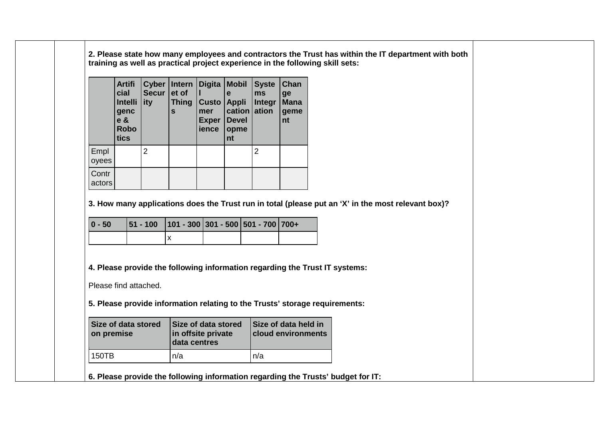**2. Please state how many employees and contractors the Trust has within the IT department with both training as well as practical project experience in the following skill sets:**

|                 | <b>Artifi</b><br>cial<br><b>Intelli</b><br>genc<br>$e \&$<br><b>Robo</b><br>tics | Cyber<br><b>Secur</b><br>ity | Intern<br>et of<br><b>Thing</b><br>S | Digita<br><b>Custo</b><br>mer<br><b>Exper</b><br>ience | <b>Mobil</b><br>е<br><b>Appli</b><br>cation ation<br><b>Devel</b><br>opme<br>nt | <b>Syste</b><br>ms<br><b>Integr</b> | Chan<br>ge<br><b>Mana</b><br>geme<br>nt |
|-----------------|----------------------------------------------------------------------------------|------------------------------|--------------------------------------|--------------------------------------------------------|---------------------------------------------------------------------------------|-------------------------------------|-----------------------------------------|
| Empl<br>oyees   |                                                                                  | 2                            |                                      |                                                        |                                                                                 | 2                                   |                                         |
| Contr<br>actors |                                                                                  |                              |                                      |                                                        |                                                                                 |                                     |                                         |

**3. How many applications does the Trust run in total (please put an 'X' in the most relevant box)?**

| $ 0 - 50 $ | $ 51 - 100 $ 101 - 300 301 - 500 501 - 700 700+ |  |  |
|------------|-------------------------------------------------|--|--|
|            |                                                 |  |  |

**4. Please provide the following information regarding the Trust IT systems:**

Please find attached.

**5. Please provide information relating to the Trusts' storage requirements:**

| <b>Size of data stored</b><br>on premise | Size of data stored<br>in offsite private<br>data centres | Size of data held in<br><b>cloud environments</b> |
|------------------------------------------|-----------------------------------------------------------|---------------------------------------------------|
| 150TB                                    | n/a                                                       | n/a                                               |
|                                          |                                                           |                                                   |

**6. Please provide the following information regarding the Trusts' budget for IT:**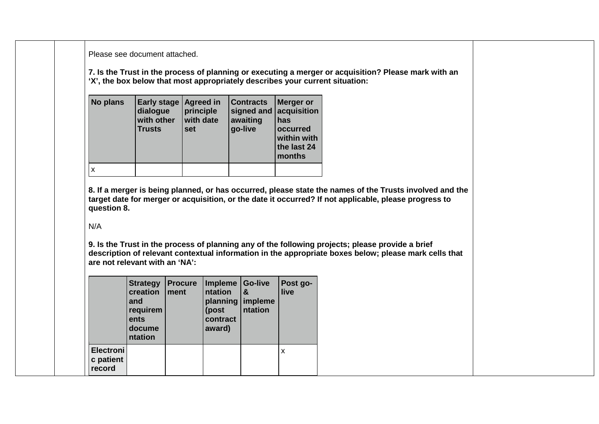Please see document attached.

**7. Is the Trust in the process of planning or executing a merger or acquisition? Please mark with an 'X', the box below that most appropriately describes your current situation:**

| No plans | <b>Early stage</b><br>dialogue<br>with other<br><b>Trusts</b> | Agreed in<br>principle<br>with date<br>set | <b>Contracts</b><br>signed and acquisition<br>awaiting<br>go-live | Merger or<br>has<br><b>occurred</b><br>within with<br>the last 24<br>months |
|----------|---------------------------------------------------------------|--------------------------------------------|-------------------------------------------------------------------|-----------------------------------------------------------------------------|
|          |                                                               |                                            |                                                                   |                                                                             |

**8. If a merger is being planned, or has occurred, please state the names of the Trusts involved and the target date for merger or acquisition, or the date it occurred? If not applicable, please progress to question 8.**

## N/A

**9. Is the Trust in the process of planning any of the following projects; please provide a brief description of relevant contextual information in the appropriate boxes below; please mark cells that are not relevant with an 'NA':**

|                                         | <b>Strategy</b><br>creation<br>and<br>requirem<br>ents<br>docume<br>ntation | <b>Procure</b><br>ment | Impleme Go-live<br>ntation<br>planning<br>(post<br>contract<br>award) | &<br>impleme<br>ntation | Post go-<br>live |
|-----------------------------------------|-----------------------------------------------------------------------------|------------------------|-----------------------------------------------------------------------|-------------------------|------------------|
| <b>Electroni</b><br>c patient<br>record |                                                                             |                        |                                                                       |                         | X                |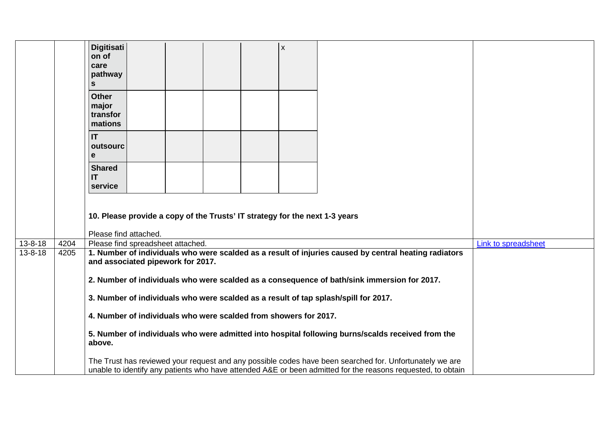|               |      | <b>Digitisati</b><br>$\pmb{\mathsf{X}}$<br>on of<br>care<br>pathway<br>S                                                                                                                                               |                     |
|---------------|------|------------------------------------------------------------------------------------------------------------------------------------------------------------------------------------------------------------------------|---------------------|
|               |      | <b>Other</b><br>major<br>transfor<br>mations                                                                                                                                                                           |                     |
|               |      | <b>IT</b><br>outsourc<br>e                                                                                                                                                                                             |                     |
|               |      | <b>Shared</b><br>IT<br>service                                                                                                                                                                                         |                     |
|               |      | 10. Please provide a copy of the Trusts' IT strategy for the next 1-3 years                                                                                                                                            |                     |
|               |      | Please find attached.                                                                                                                                                                                                  |                     |
| $13 - 8 - 18$ | 4204 | Please find spreadsheet attached.                                                                                                                                                                                      | Link to spreadsheet |
| $13 - 8 - 18$ | 4205 | 1. Number of individuals who were scalded as a result of injuries caused by central heating radiators<br>and associated pipework for 2017.                                                                             |                     |
|               |      | 2. Number of individuals who were scalded as a consequence of bath/sink immersion for 2017.                                                                                                                            |                     |
|               |      | 3. Number of individuals who were scalded as a result of tap splash/spill for 2017.                                                                                                                                    |                     |
|               |      | 4. Number of individuals who were scalded from showers for 2017.                                                                                                                                                       |                     |
|               |      | 5. Number of individuals who were admitted into hospital following burns/scalds received from the<br>above.                                                                                                            |                     |
|               |      | The Trust has reviewed your request and any possible codes have been searched for. Unfortunately we are<br>unable to identify any patients who have attended A&E or been admitted for the reasons requested, to obtain |                     |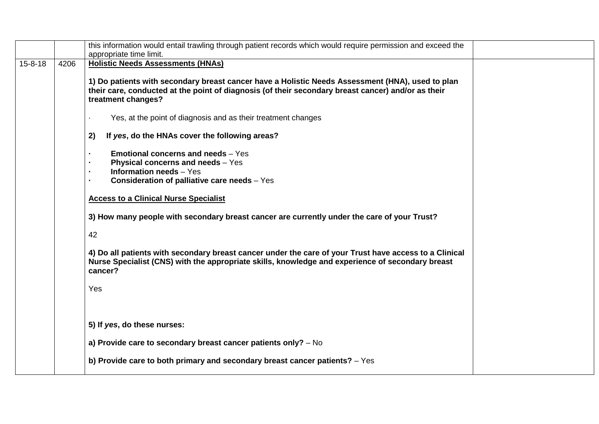|               |      | this information would entail trawling through patient records which would require permission and exceed the                                                                                                                 |
|---------------|------|------------------------------------------------------------------------------------------------------------------------------------------------------------------------------------------------------------------------------|
|               |      | appropriate time limit.                                                                                                                                                                                                      |
| $15 - 8 - 18$ | 4206 | <b>Holistic Needs Assessments (HNAs)</b>                                                                                                                                                                                     |
|               |      | 1) Do patients with secondary breast cancer have a Holistic Needs Assessment (HNA), used to plan<br>their care, conducted at the point of diagnosis (of their secondary breast cancer) and/or as their<br>treatment changes? |
|               |      | Yes, at the point of diagnosis and as their treatment changes                                                                                                                                                                |
|               |      | If yes, do the HNAs cover the following areas?<br>2)                                                                                                                                                                         |
|               |      | <b>Emotional concerns and needs - Yes</b><br>×.<br><b>Physical concerns and needs</b> - Yes<br><b>Information needs - Yes</b><br><b>Consideration of palliative care needs</b> - Yes                                         |
|               |      | <b>Access to a Clinical Nurse Specialist</b>                                                                                                                                                                                 |
|               |      | 3) How many people with secondary breast cancer are currently under the care of your Trust?                                                                                                                                  |
|               |      | 42                                                                                                                                                                                                                           |
|               |      | 4) Do all patients with secondary breast cancer under the care of your Trust have access to a Clinical<br>Nurse Specialist (CNS) with the appropriate skills, knowledge and experience of secondary breast<br>cancer?        |
|               |      | Yes                                                                                                                                                                                                                          |
|               |      |                                                                                                                                                                                                                              |
|               |      | 5) If yes, do these nurses:                                                                                                                                                                                                  |
|               |      | a) Provide care to secondary breast cancer patients only? - No                                                                                                                                                               |
|               |      | b) Provide care to both primary and secondary breast cancer patients? $-$ Yes                                                                                                                                                |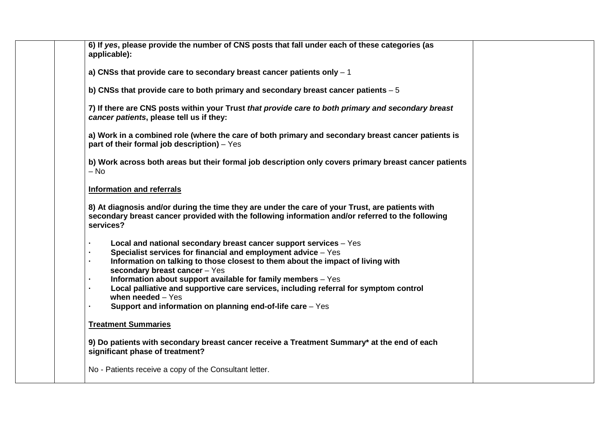| 6) If yes, please provide the number of CNS posts that fall under each of these categories (as<br>applicable):                                                                                                                                                                                                                                                                                                                                                                                                                                      |  |
|-----------------------------------------------------------------------------------------------------------------------------------------------------------------------------------------------------------------------------------------------------------------------------------------------------------------------------------------------------------------------------------------------------------------------------------------------------------------------------------------------------------------------------------------------------|--|
| a) CNSs that provide care to secondary breast cancer patients only $-1$                                                                                                                                                                                                                                                                                                                                                                                                                                                                             |  |
| b) CNSs that provide care to both primary and secondary breast cancer patients $-5$                                                                                                                                                                                                                                                                                                                                                                                                                                                                 |  |
| 7) If there are CNS posts within your Trust that provide care to both primary and secondary breast<br>cancer patients, please tell us if they:                                                                                                                                                                                                                                                                                                                                                                                                      |  |
| a) Work in a combined role (where the care of both primary and secondary breast cancer patients is<br>part of their formal job description) - Yes                                                                                                                                                                                                                                                                                                                                                                                                   |  |
| b) Work across both areas but their formal job description only covers primary breast cancer patients<br>$-$ No                                                                                                                                                                                                                                                                                                                                                                                                                                     |  |
| <b>Information and referrals</b>                                                                                                                                                                                                                                                                                                                                                                                                                                                                                                                    |  |
| 8) At diagnosis and/or during the time they are under the care of your Trust, are patients with<br>secondary breast cancer provided with the following information and/or referred to the following<br>services?                                                                                                                                                                                                                                                                                                                                    |  |
| Local and national secondary breast cancer support services - Yes<br>$\blacksquare$<br>Specialist services for financial and employment advice - Yes<br>×.<br>Information on talking to those closest to them about the impact of living with<br>secondary breast cancer - Yes<br>Information about support available for family members - Yes<br>$\blacksquare$<br>Local palliative and supportive care services, including referral for symptom control<br>٠<br>when needed $-$ Yes<br>Support and information on planning end-of-life care – Yes |  |
| <b>Treatment Summaries</b>                                                                                                                                                                                                                                                                                                                                                                                                                                                                                                                          |  |
| 9) Do patients with secondary breast cancer receive a Treatment Summary* at the end of each<br>significant phase of treatment?                                                                                                                                                                                                                                                                                                                                                                                                                      |  |
| No - Patients receive a copy of the Consultant letter.                                                                                                                                                                                                                                                                                                                                                                                                                                                                                              |  |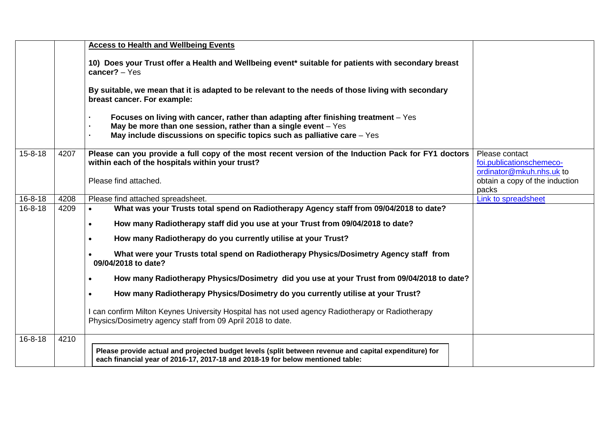|               |      | <b>Access to Health and Wellbeing Events</b>                                                                                                                                                                                          |                                                                                                                   |
|---------------|------|---------------------------------------------------------------------------------------------------------------------------------------------------------------------------------------------------------------------------------------|-------------------------------------------------------------------------------------------------------------------|
|               |      | 10) Does your Trust offer a Health and Wellbeing event* suitable for patients with secondary breast<br>$cancer? - Yes$                                                                                                                |                                                                                                                   |
|               |      | By suitable, we mean that it is adapted to be relevant to the needs of those living with secondary<br>breast cancer. For example:                                                                                                     |                                                                                                                   |
|               |      | Focuses on living with cancer, rather than adapting after finishing treatment – Yes<br>May be more than one session, rather than a single event $-$ Yes<br>May include discussions on specific topics such as palliative care $-$ Yes |                                                                                                                   |
| $15 - 8 - 18$ | 4207 | Please can you provide a full copy of the most recent version of the Induction Pack for FY1 doctors<br>within each of the hospitals within your trust?<br>Please find attached.                                                       | Please contact<br>foi.publicationschemeco-<br>ordinator@mkuh.nhs.uk to<br>obtain a copy of the induction<br>packs |
| $16 - 8 - 18$ | 4208 | Please find attached spreadsheet.                                                                                                                                                                                                     | Link to spreadsheet                                                                                               |
| $16 - 8 - 18$ | 4209 | What was your Trusts total spend on Radiotherapy Agency staff from 09/04/2018 to date?<br>$\bullet$                                                                                                                                   |                                                                                                                   |
|               |      | How many Radiotherapy staff did you use at your Trust from 09/04/2018 to date?<br>$\bullet$                                                                                                                                           |                                                                                                                   |
|               |      | How many Radiotherapy do you currently utilise at your Trust?<br>$\bullet$                                                                                                                                                            |                                                                                                                   |
|               |      | What were your Trusts total spend on Radiotherapy Physics/Dosimetry Agency staff from<br>09/04/2018 to date?                                                                                                                          |                                                                                                                   |
|               |      | How many Radiotherapy Physics/Dosimetry did you use at your Trust from 09/04/2018 to date?<br>$\bullet$                                                                                                                               |                                                                                                                   |
|               |      | How many Radiotherapy Physics/Dosimetry do you currently utilise at your Trust?                                                                                                                                                       |                                                                                                                   |
|               |      | I can confirm Milton Keynes University Hospital has not used agency Radiotherapy or Radiotherapy<br>Physics/Dosimetry agency staff from 09 April 2018 to date.                                                                        |                                                                                                                   |
| $16 - 8 - 18$ | 4210 |                                                                                                                                                                                                                                       |                                                                                                                   |
|               |      | Please provide actual and projected budget levels (split between revenue and capital expenditure) for<br>each financial year of 2016-17, 2017-18 and 2018-19 for below mentioned table:                                               |                                                                                                                   |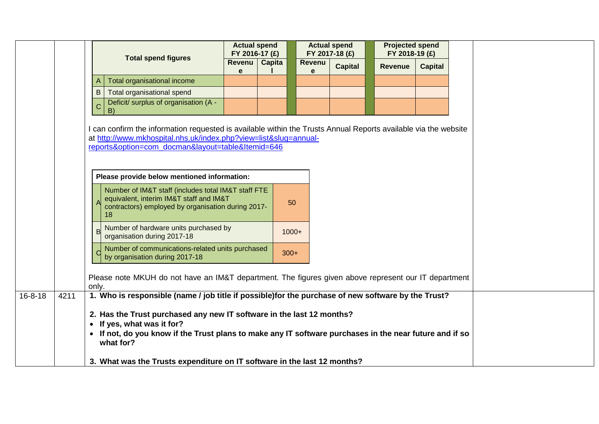|               |      |                                                                                                                                                                                                                                        | <b>Actual spend</b><br>FY 2016-17 (£) |               |             | <b>Actual spend</b><br>FY 2017-18 (£) |                | <b>Projected spend</b><br>FY 2018-19 (£) |  |
|---------------|------|----------------------------------------------------------------------------------------------------------------------------------------------------------------------------------------------------------------------------------------|---------------------------------------|---------------|-------------|---------------------------------------|----------------|------------------------------------------|--|
|               |      | <b>Total spend figures</b>                                                                                                                                                                                                             | Revenu<br>e                           | <b>Capita</b> | Revenu<br>e | <b>Capital</b>                        | <b>Revenue</b> | <b>Capital</b>                           |  |
|               |      | Total organisational income<br>A                                                                                                                                                                                                       |                                       |               |             |                                       |                |                                          |  |
|               |      | $\mathsf B$<br>Total organisational spend                                                                                                                                                                                              |                                       |               |             |                                       |                |                                          |  |
|               |      | Deficit/ surplus of organisation (A -<br>$\mathsf{C}$<br>B)                                                                                                                                                                            |                                       |               |             |                                       |                |                                          |  |
|               |      | can confirm the information requested is available within the Trusts Annual Reports available via the website<br>at http://www.mkhospital.nhs.uk/index.php?view=list&slug=annual-<br>reports&option=com_docman&layout=table&Itemid=646 |                                       |               |             |                                       |                |                                          |  |
|               |      |                                                                                                                                                                                                                                        |                                       |               |             |                                       |                |                                          |  |
|               |      |                                                                                                                                                                                                                                        |                                       |               |             |                                       |                |                                          |  |
|               |      | Please provide below mentioned information:                                                                                                                                                                                            |                                       |               |             |                                       |                |                                          |  |
|               |      | Number of IM&T staff (includes total IM&T staff FTE<br>equivalent, interim IM&T staff and IM&T<br>contractors) employed by organisation during 2017-<br>18                                                                             |                                       | 50            |             |                                       |                |                                          |  |
|               |      | Number of hardware units purchased by<br>$\overline{B}$<br>organisation during 2017-18                                                                                                                                                 |                                       | $1000+$       |             |                                       |                |                                          |  |
|               |      | Number of communications-related units purchased<br>$\overline{C}$<br>by organisation during 2017-18                                                                                                                                   |                                       | $300+$        |             |                                       |                |                                          |  |
|               |      | Please note MKUH do not have an IM&T department. The figures given above represent our IT department<br>only.                                                                                                                          |                                       |               |             |                                       |                |                                          |  |
| $16 - 8 - 18$ | 4211 | 1. Who is responsible (name / job title if possible) for the purchase of new software by the Trust?                                                                                                                                    |                                       |               |             |                                       |                |                                          |  |
|               |      | 2. Has the Trust purchased any new IT software in the last 12 months?<br>• If yes, what was it for?<br>• If not, do you know if the Trust plans to make any IT software purchases in the near future and if so<br>what for?            |                                       |               |             |                                       |                |                                          |  |
|               |      | 3. What was the Trusts expenditure on IT software in the last 12 months?                                                                                                                                                               |                                       |               |             |                                       |                |                                          |  |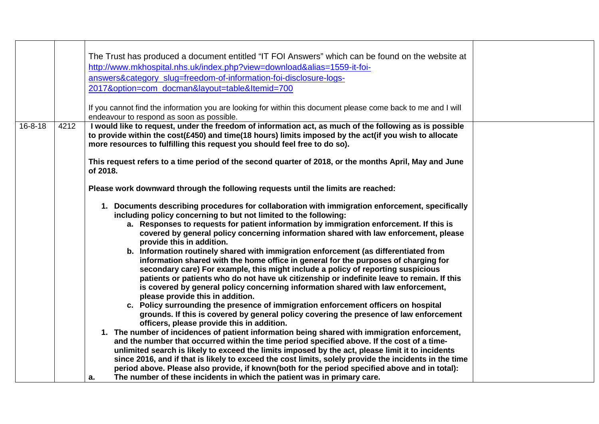|                       | The Trust has produced a document entitled "IT FOI Answers" which can be found on the website at<br>http://www.mkhospital.nhs.uk/index.php?view=download&alias=1559-it-foi-<br>answers&category_slug=freedom-of-information-foi-disclosure-logs-<br>2017&option=com_docman&layout=table&Itemid=700<br>If you cannot find the information you are looking for within this document please come back to me and I will<br>endeavour to respond as soon as possible.                                                                                                                                                                                                                                                                                                                                                                                                                                                                                                                                                                                                                                                                                                                                                                                                                                                                                                                                                                                                                                                                                                                                                                                                                                                                                                                                                                                                                                                                                                                                                                                                                                                                                                                                                     |  |
|-----------------------|----------------------------------------------------------------------------------------------------------------------------------------------------------------------------------------------------------------------------------------------------------------------------------------------------------------------------------------------------------------------------------------------------------------------------------------------------------------------------------------------------------------------------------------------------------------------------------------------------------------------------------------------------------------------------------------------------------------------------------------------------------------------------------------------------------------------------------------------------------------------------------------------------------------------------------------------------------------------------------------------------------------------------------------------------------------------------------------------------------------------------------------------------------------------------------------------------------------------------------------------------------------------------------------------------------------------------------------------------------------------------------------------------------------------------------------------------------------------------------------------------------------------------------------------------------------------------------------------------------------------------------------------------------------------------------------------------------------------------------------------------------------------------------------------------------------------------------------------------------------------------------------------------------------------------------------------------------------------------------------------------------------------------------------------------------------------------------------------------------------------------------------------------------------------------------------------------------------------|--|
| $16 - 8 - 18$<br>4212 | I would like to request, under the freedom of information act, as much of the following as is possible<br>to provide within the cost(£450) and time(18 hours) limits imposed by the act(if you wish to allocate<br>more resources to fulfilling this request you should feel free to do so).<br>This request refers to a time period of the second quarter of 2018, or the months April, May and June<br>of 2018.<br>Please work downward through the following requests until the limits are reached:<br>1. Documents describing procedures for collaboration with immigration enforcement, specifically<br>including policy concerning to but not limited to the following:<br>a. Responses to requests for patient information by immigration enforcement. If this is<br>covered by general policy concerning information shared with law enforcement, please<br>provide this in addition.<br>b. Information routinely shared with immigration enforcement (as differentiated from<br>information shared with the home office in general for the purposes of charging for<br>secondary care) For example, this might include a policy of reporting suspicious<br>patients or patients who do not have uk citizenship or indefinite leave to remain. If this<br>is covered by general policy concerning information shared with law enforcement,<br>please provide this in addition.<br>c. Policy surrounding the presence of immigration enforcement officers on hospital<br>grounds. If this is covered by general policy covering the presence of law enforcement<br>officers, please provide this in addition.<br>1. The number of incidences of patient information being shared with immigration enforcement,<br>and the number that occurred within the time period specified above. If the cost of a time-<br>unlimited search is likely to exceed the limits imposed by the act, please limit it to incidents<br>since 2016, and if that is likely to exceed the cost limits, solely provide the incidents in the time<br>period above. Please also provide, if known(both for the period specified above and in total):<br>The number of these incidents in which the patient was in primary care.<br>a. |  |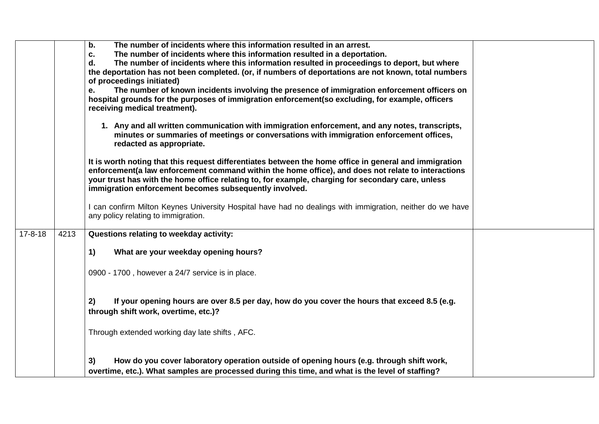|               |      | The number of incidents where this information resulted in an arrest.<br>b.<br>The number of incidents where this information resulted in a deportation.<br>C.<br>The number of incidents where this information resulted in proceedings to deport, but where<br>d.<br>the deportation has not been completed. (or, if numbers of deportations are not known, total numbers<br>of proceedings initiated)<br>The number of known incidents involving the presence of immigration enforcement officers on<br>е.<br>hospital grounds for the purposes of immigration enforcement (so excluding, for example, officers<br>receiving medical treatment). |  |
|---------------|------|-----------------------------------------------------------------------------------------------------------------------------------------------------------------------------------------------------------------------------------------------------------------------------------------------------------------------------------------------------------------------------------------------------------------------------------------------------------------------------------------------------------------------------------------------------------------------------------------------------------------------------------------------------|--|
|               |      | 1. Any and all written communication with immigration enforcement, and any notes, transcripts,<br>minutes or summaries of meetings or conversations with immigration enforcement offices,<br>redacted as appropriate.                                                                                                                                                                                                                                                                                                                                                                                                                               |  |
|               |      | It is worth noting that this request differentiates between the home office in general and immigration<br>enforcement (a law enforcement command within the home office), and does not relate to interactions<br>your trust has with the home office relating to, for example, charging for secondary care, unless<br>immigration enforcement becomes subsequently involved.                                                                                                                                                                                                                                                                        |  |
|               |      | I can confirm Milton Keynes University Hospital have had no dealings with immigration, neither do we have<br>any policy relating to immigration.                                                                                                                                                                                                                                                                                                                                                                                                                                                                                                    |  |
| $17 - 8 - 18$ | 4213 | Questions relating to weekday activity:                                                                                                                                                                                                                                                                                                                                                                                                                                                                                                                                                                                                             |  |
|               |      | 1)<br>What are your weekday opening hours?                                                                                                                                                                                                                                                                                                                                                                                                                                                                                                                                                                                                          |  |
|               |      | 0900 - 1700, however a 24/7 service is in place.                                                                                                                                                                                                                                                                                                                                                                                                                                                                                                                                                                                                    |  |
|               |      | If your opening hours are over 8.5 per day, how do you cover the hours that exceed 8.5 (e.g.<br>2)<br>through shift work, overtime, etc.)?                                                                                                                                                                                                                                                                                                                                                                                                                                                                                                          |  |
|               |      | Through extended working day late shifts, AFC.                                                                                                                                                                                                                                                                                                                                                                                                                                                                                                                                                                                                      |  |
|               |      | How do you cover laboratory operation outside of opening hours (e.g. through shift work,<br>3)<br>overtime, etc.). What samples are processed during this time, and what is the level of staffing?                                                                                                                                                                                                                                                                                                                                                                                                                                                  |  |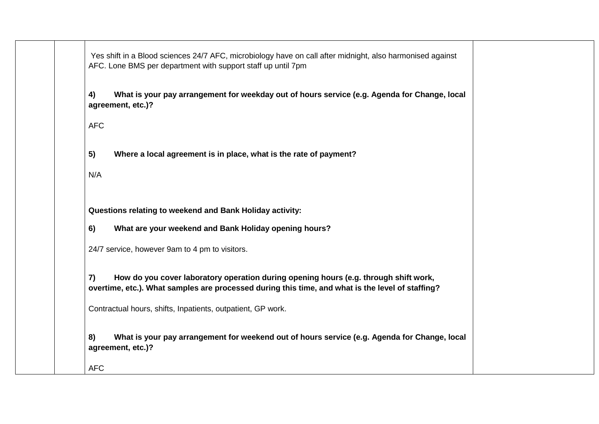| Yes shift in a Blood sciences 24/7 AFC, microbiology have on call after midnight, also harmonised against<br>AFC. Lone BMS per department with support staff up until 7pm                      |
|------------------------------------------------------------------------------------------------------------------------------------------------------------------------------------------------|
| What is your pay arrangement for weekday out of hours service (e.g. Agenda for Change, local<br>4)<br>agreement, etc.)?                                                                        |
| <b>AFC</b>                                                                                                                                                                                     |
| 5)<br>Where a local agreement is in place, what is the rate of payment?                                                                                                                        |
| N/A                                                                                                                                                                                            |
| Questions relating to weekend and Bank Holiday activity:                                                                                                                                       |
| 6)<br>What are your weekend and Bank Holiday opening hours?                                                                                                                                    |
| 24/7 service, however 9am to 4 pm to visitors.                                                                                                                                                 |
| 7)<br>How do you cover laboratory operation during opening hours (e.g. through shift work,<br>overtime, etc.). What samples are processed during this time, and what is the level of staffing? |
| Contractual hours, shifts, Inpatients, outpatient, GP work.                                                                                                                                    |
| 8)<br>What is your pay arrangement for weekend out of hours service (e.g. Agenda for Change, local<br>agreement, etc.)?                                                                        |
| <b>AFC</b>                                                                                                                                                                                     |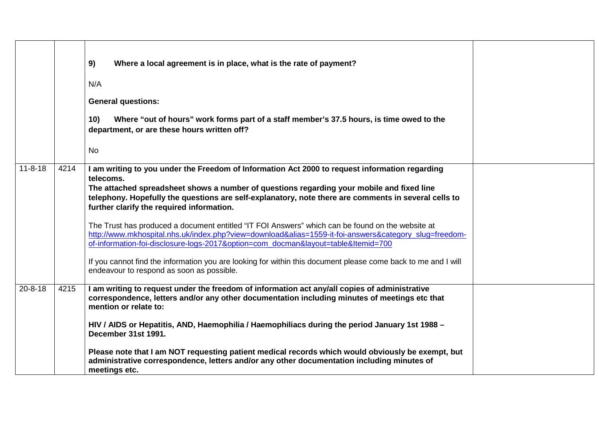|               |      | 9)<br>Where a local agreement is in place, what is the rate of payment?<br>N/A<br><b>General questions:</b><br>10)<br>Where "out of hours" work forms part of a staff member's 37.5 hours, is time owed to the<br>department, or are these hours written off?<br><b>No</b>                                                                                                                                                                                                                                                                                                                                                                                                                                                                                                                                                    |  |
|---------------|------|-------------------------------------------------------------------------------------------------------------------------------------------------------------------------------------------------------------------------------------------------------------------------------------------------------------------------------------------------------------------------------------------------------------------------------------------------------------------------------------------------------------------------------------------------------------------------------------------------------------------------------------------------------------------------------------------------------------------------------------------------------------------------------------------------------------------------------|--|
| $11 - 8 - 18$ | 4214 | I am writing to you under the Freedom of Information Act 2000 to request information regarding<br>telecoms.<br>The attached spreadsheet shows a number of questions regarding your mobile and fixed line<br>telephony. Hopefully the questions are self-explanatory, note there are comments in several cells to<br>further clarify the required information.<br>The Trust has produced a document entitled "IT FOI Answers" which can be found on the website at<br>http://www.mkhospital.nhs.uk/index.php?view=download&alias=1559-it-foi-answers&category_slug=freedom-<br>of-information-foi-disclosure-logs-2017&option=com_docman&layout=table&Itemid=700<br>If you cannot find the information you are looking for within this document please come back to me and I will<br>endeavour to respond as soon as possible. |  |
| $20 - 8 - 18$ | 4215 | I am writing to request under the freedom of information act any/all copies of administrative<br>correspondence, letters and/or any other documentation including minutes of meetings etc that<br>mention or relate to:<br>HIV / AIDS or Hepatitis, AND, Haemophilia / Haemophiliacs during the period January 1st 1988 -<br>December 31st 1991.<br>Please note that I am NOT requesting patient medical records which would obviously be exempt, but<br>administrative correspondence, letters and/or any other documentation including minutes of<br>meetings etc.                                                                                                                                                                                                                                                          |  |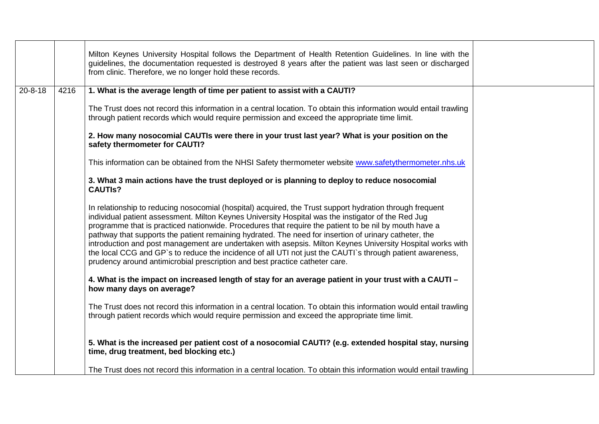|               |      | Milton Keynes University Hospital follows the Department of Health Retention Guidelines. In line with the<br>guidelines, the documentation requested is destroyed 8 years after the patient was last seen or discharged<br>from clinic. Therefore, we no longer hold these records.                                                                                                                                                                                                                                                                                                                                                                                                                                                        |  |
|---------------|------|--------------------------------------------------------------------------------------------------------------------------------------------------------------------------------------------------------------------------------------------------------------------------------------------------------------------------------------------------------------------------------------------------------------------------------------------------------------------------------------------------------------------------------------------------------------------------------------------------------------------------------------------------------------------------------------------------------------------------------------------|--|
| $20 - 8 - 18$ | 4216 | 1. What is the average length of time per patient to assist with a CAUTI?                                                                                                                                                                                                                                                                                                                                                                                                                                                                                                                                                                                                                                                                  |  |
|               |      | The Trust does not record this information in a central location. To obtain this information would entail trawling<br>through patient records which would require permission and exceed the appropriate time limit.                                                                                                                                                                                                                                                                                                                                                                                                                                                                                                                        |  |
|               |      | 2. How many nosocomial CAUTIs were there in your trust last year? What is your position on the<br>safety thermometer for CAUTI?                                                                                                                                                                                                                                                                                                                                                                                                                                                                                                                                                                                                            |  |
|               |      | This information can be obtained from the NHSI Safety thermometer website www.safetythermometer.nhs.uk                                                                                                                                                                                                                                                                                                                                                                                                                                                                                                                                                                                                                                     |  |
|               |      | 3. What 3 main actions have the trust deployed or is planning to deploy to reduce nosocomial<br><b>CAUTIS?</b>                                                                                                                                                                                                                                                                                                                                                                                                                                                                                                                                                                                                                             |  |
|               |      | In relationship to reducing nosocomial (hospital) acquired, the Trust support hydration through frequent<br>individual patient assessment. Milton Keynes University Hospital was the instigator of the Red Jug<br>programme that is practiced nationwide. Procedures that require the patient to be nil by mouth have a<br>pathway that supports the patient remaining hydrated. The need for insertion of urinary catheter, the<br>introduction and post management are undertaken with asepsis. Milton Keynes University Hospital works with<br>the local CCG and GP's to reduce the incidence of all UTI not just the CAUTI's through patient awareness,<br>prudency around antimicrobial prescription and best practice catheter care. |  |
|               |      | 4. What is the impact on increased length of stay for an average patient in your trust with a CAUTI -<br>how many days on average?                                                                                                                                                                                                                                                                                                                                                                                                                                                                                                                                                                                                         |  |
|               |      | The Trust does not record this information in a central location. To obtain this information would entail trawling<br>through patient records which would require permission and exceed the appropriate time limit.                                                                                                                                                                                                                                                                                                                                                                                                                                                                                                                        |  |
|               |      | 5. What is the increased per patient cost of a nosocomial CAUTI? (e.g. extended hospital stay, nursing<br>time, drug treatment, bed blocking etc.)                                                                                                                                                                                                                                                                                                                                                                                                                                                                                                                                                                                         |  |
|               |      | The Trust does not record this information in a central location. To obtain this information would entail trawling                                                                                                                                                                                                                                                                                                                                                                                                                                                                                                                                                                                                                         |  |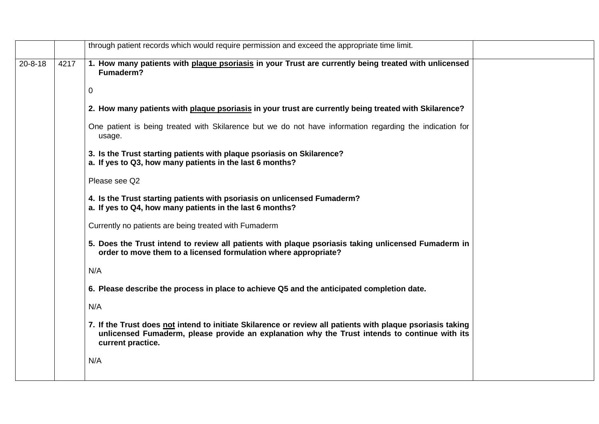|               |      | through patient records which would require permission and exceed the appropriate time limit.                                                                                                                                    |
|---------------|------|----------------------------------------------------------------------------------------------------------------------------------------------------------------------------------------------------------------------------------|
| $20 - 8 - 18$ | 4217 | 1. How many patients with plaque psoriasis in your Trust are currently being treated with unlicensed<br>Fumaderm?                                                                                                                |
|               |      | 0                                                                                                                                                                                                                                |
|               |      | 2. How many patients with plaque psoriasis in your trust are currently being treated with Skilarence?                                                                                                                            |
|               |      | One patient is being treated with Skilarence but we do not have information regarding the indication for<br>usage.                                                                                                               |
|               |      | 3. Is the Trust starting patients with plaque psoriasis on Skilarence?<br>a. If yes to Q3, how many patients in the last 6 months?                                                                                               |
|               |      | Please see Q2                                                                                                                                                                                                                    |
|               |      | 4. Is the Trust starting patients with psoriasis on unlicensed Fumaderm?<br>a. If yes to Q4, how many patients in the last 6 months?                                                                                             |
|               |      | Currently no patients are being treated with Fumaderm                                                                                                                                                                            |
|               |      | 5. Does the Trust intend to review all patients with plaque psoriasis taking unlicensed Fumaderm in<br>order to move them to a licensed formulation where appropriate?                                                           |
|               |      | N/A                                                                                                                                                                                                                              |
|               |      | 6. Please describe the process in place to achieve Q5 and the anticipated completion date.                                                                                                                                       |
|               |      | N/A                                                                                                                                                                                                                              |
|               |      | 7. If the Trust does not intend to initiate Skilarence or review all patients with plaque psoriasis taking<br>unlicensed Fumaderm, please provide an explanation why the Trust intends to continue with its<br>current practice. |
|               |      | N/A                                                                                                                                                                                                                              |
|               |      |                                                                                                                                                                                                                                  |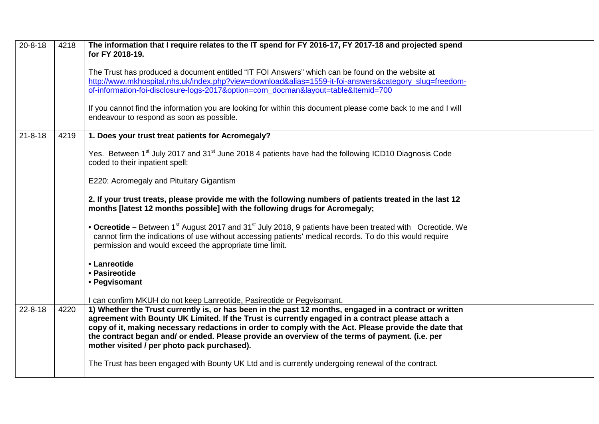| $20 - 8 - 18$ | 4218 | The information that I require relates to the IT spend for FY 2016-17, FY 2017-18 and projected spend<br>for FY 2018-19.                                                                                                                                                                                                                                                                                                                                               |  |
|---------------|------|------------------------------------------------------------------------------------------------------------------------------------------------------------------------------------------------------------------------------------------------------------------------------------------------------------------------------------------------------------------------------------------------------------------------------------------------------------------------|--|
|               |      | The Trust has produced a document entitled "IT FOI Answers" which can be found on the website at<br>http://www.mkhospital.nhs.uk/index.php?view=download&alias=1559-it-foi-answers&category_slug=freedom-<br>of-information-foi-disclosure-logs-2017&option=com docman&layout=table&Itemid=700                                                                                                                                                                         |  |
|               |      | If you cannot find the information you are looking for within this document please come back to me and I will<br>endeavour to respond as soon as possible.                                                                                                                                                                                                                                                                                                             |  |
| $21 - 8 - 18$ | 4219 | 1. Does your trust treat patients for Acromegaly?                                                                                                                                                                                                                                                                                                                                                                                                                      |  |
|               |      | Yes. Between 1 <sup>st</sup> July 2017 and 31 <sup>st</sup> June 2018 4 patients have had the following ICD10 Diagnosis Code<br>coded to their inpatient spell:                                                                                                                                                                                                                                                                                                        |  |
|               |      | E220: Acromegaly and Pituitary Gigantism                                                                                                                                                                                                                                                                                                                                                                                                                               |  |
|               |      | 2. If your trust treats, please provide me with the following numbers of patients treated in the last 12<br>months [latest 12 months possible] with the following drugs for Acromegaly;                                                                                                                                                                                                                                                                                |  |
|               |      | • Ocreotide – Between 1 <sup>st</sup> August 2017 and 31 <sup>st</sup> July 2018, 9 patients have been treated with Ocreotide. We<br>cannot firm the indications of use without accessing patients' medical records. To do this would require<br>permission and would exceed the appropriate time limit.                                                                                                                                                               |  |
|               |      | • Lanreotide<br>• Pasireotide<br>• Pegvisomant                                                                                                                                                                                                                                                                                                                                                                                                                         |  |
|               |      | I can confirm MKUH do not keep Lanreotide, Pasireotide or Pegvisomant.                                                                                                                                                                                                                                                                                                                                                                                                 |  |
| $22 - 8 - 18$ | 4220 | 1) Whether the Trust currently is, or has been in the past 12 months, engaged in a contract or written<br>agreement with Bounty UK Limited. If the Trust is currently engaged in a contract please attach a<br>copy of it, making necessary redactions in order to comply with the Act. Please provide the date that<br>the contract began and/ or ended. Please provide an overview of the terms of payment. (i.e. per<br>mother visited / per photo pack purchased). |  |
|               |      | The Trust has been engaged with Bounty UK Ltd and is currently undergoing renewal of the contract.                                                                                                                                                                                                                                                                                                                                                                     |  |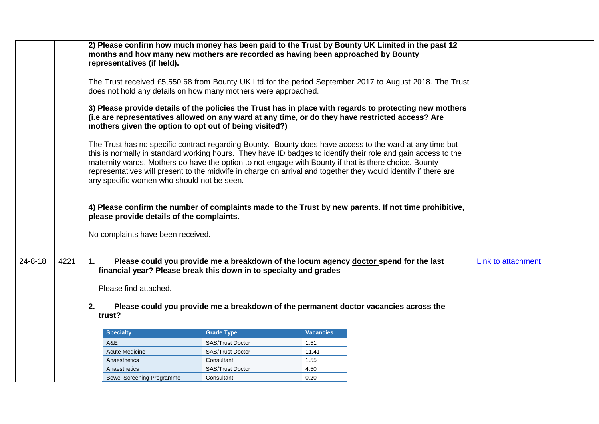|               |      | 2) Please confirm how much money has been paid to the Trust by Bounty UK Limited in the past 12<br>months and how many new mothers are recorded as having been approached by Bounty<br>representatives (if held).<br>does not hold any details on how many mothers were approached.<br>(i.e are representatives allowed on any ward at any time, or do they have restricted access? Are<br>mothers given the option to opt out of being visited?)<br>The Trust has no specific contract regarding Bounty. Bounty does have access to the ward at any time but<br>this is normally in standard working hours. They have ID badges to identify their role and gain access to the<br>maternity wards. Mothers do have the option to not engage with Bounty if that is there choice. Bounty<br>representatives will present to the midwife in charge on arrival and together they would identify if there are<br>any specific women who should not be seen.<br>please provide details of the complaints. |                         |                  | The Trust received £5,550.68 from Bounty UK Ltd for the period September 2017 to August 2018. The Trust<br>3) Please provide details of the policies the Trust has in place with regards to protecting new mothers<br>4) Please confirm the number of complaints made to the Trust by new parents. If not time prohibitive, |                    |
|---------------|------|------------------------------------------------------------------------------------------------------------------------------------------------------------------------------------------------------------------------------------------------------------------------------------------------------------------------------------------------------------------------------------------------------------------------------------------------------------------------------------------------------------------------------------------------------------------------------------------------------------------------------------------------------------------------------------------------------------------------------------------------------------------------------------------------------------------------------------------------------------------------------------------------------------------------------------------------------------------------------------------------------|-------------------------|------------------|-----------------------------------------------------------------------------------------------------------------------------------------------------------------------------------------------------------------------------------------------------------------------------------------------------------------------------|--------------------|
|               |      | No complaints have been received.                                                                                                                                                                                                                                                                                                                                                                                                                                                                                                                                                                                                                                                                                                                                                                                                                                                                                                                                                                    |                         |                  |                                                                                                                                                                                                                                                                                                                             |                    |
|               |      |                                                                                                                                                                                                                                                                                                                                                                                                                                                                                                                                                                                                                                                                                                                                                                                                                                                                                                                                                                                                      |                         |                  |                                                                                                                                                                                                                                                                                                                             |                    |
| $24 - 8 - 18$ | 4221 | 1.<br>financial year? Please break this down in to specialty and grades<br>Please find attached.<br>2.                                                                                                                                                                                                                                                                                                                                                                                                                                                                                                                                                                                                                                                                                                                                                                                                                                                                                               |                         |                  | Please could you provide me a breakdown of the locum agency doctor spend for the last                                                                                                                                                                                                                                       | Link to attachment |
|               |      | trust?                                                                                                                                                                                                                                                                                                                                                                                                                                                                                                                                                                                                                                                                                                                                                                                                                                                                                                                                                                                               |                         |                  | Please could you provide me a breakdown of the permanent doctor vacancies across the                                                                                                                                                                                                                                        |                    |
|               |      | <b>Specialty</b>                                                                                                                                                                                                                                                                                                                                                                                                                                                                                                                                                                                                                                                                                                                                                                                                                                                                                                                                                                                     | <b>Grade Type</b>       | <b>Vacancies</b> |                                                                                                                                                                                                                                                                                                                             |                    |
|               |      | A&E                                                                                                                                                                                                                                                                                                                                                                                                                                                                                                                                                                                                                                                                                                                                                                                                                                                                                                                                                                                                  | <b>SAS/Trust Doctor</b> | 1.51             |                                                                                                                                                                                                                                                                                                                             |                    |
|               |      | <b>Acute Medicine</b>                                                                                                                                                                                                                                                                                                                                                                                                                                                                                                                                                                                                                                                                                                                                                                                                                                                                                                                                                                                | SAS/Trust Doctor        | 11.41            |                                                                                                                                                                                                                                                                                                                             |                    |
|               |      | Anaesthetics                                                                                                                                                                                                                                                                                                                                                                                                                                                                                                                                                                                                                                                                                                                                                                                                                                                                                                                                                                                         | Consultant              | 1.55             |                                                                                                                                                                                                                                                                                                                             |                    |
|               |      | Anaesthetics                                                                                                                                                                                                                                                                                                                                                                                                                                                                                                                                                                                                                                                                                                                                                                                                                                                                                                                                                                                         | <b>SAS/Trust Doctor</b> | 4.50             |                                                                                                                                                                                                                                                                                                                             |                    |
|               |      | <b>Bowel Screening Programme</b>                                                                                                                                                                                                                                                                                                                                                                                                                                                                                                                                                                                                                                                                                                                                                                                                                                                                                                                                                                     | Consultant              | 0.20             |                                                                                                                                                                                                                                                                                                                             |                    |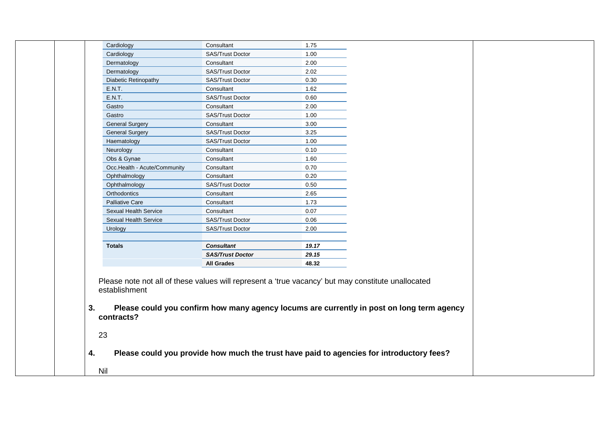| Cardiology<br>Cardiology<br>Dermatology<br>Dermatology<br>Diabetic Retinopathy | Consultant<br>SAS/Trust Doctor |              |  |
|--------------------------------------------------------------------------------|--------------------------------|--------------|--|
|                                                                                |                                | 1.75<br>1.00 |  |
|                                                                                | Consultant                     | 2.00         |  |
|                                                                                | SAS/Trust Doctor               | 2.02         |  |
|                                                                                | SAS/Trust Doctor               | 0.30         |  |
| E.N.T.                                                                         | Consultant                     | 1.62         |  |
| <b>E.N.T.</b>                                                                  | SAS/Trust Doctor               | 0.60         |  |
| Gastro                                                                         | Consultant                     | 2.00         |  |
| Gastro                                                                         | SAS/Trust Doctor               | 1.00         |  |
| <b>General Surgery</b>                                                         | Consultant                     | 3.00         |  |
| <b>General Surgery</b>                                                         | SAS/Trust Doctor               | 3.25         |  |
| Haematology                                                                    | SAS/Trust Doctor               | 1.00         |  |
| Neurology                                                                      | Consultant                     | 0.10         |  |
| Obs & Gynae                                                                    | Consultant                     | 1.60         |  |
| Occ.Health - Acute/Community                                                   | Consultant                     | 0.70         |  |
| Ophthalmology                                                                  | Consultant                     | 0.20         |  |
| Ophthalmology                                                                  | SAS/Trust Doctor               | 0.50         |  |
| Orthodontics                                                                   | Consultant                     | 2.65         |  |
| Palliative Care                                                                | Consultant                     | 1.73         |  |
| Sexual Health Service                                                          | Consultant                     | 0.07         |  |
| Sexual Health Service                                                          | SAS/Trust Doctor               | 0.06         |  |
| Urology                                                                        | SAS/Trust Doctor               | 2.00         |  |
|                                                                                |                                |              |  |
| <b>Totals</b>                                                                  | <b>Consultant</b>              | 19.17        |  |
|                                                                                | <b>SAS/Trust Doctor</b>        | 29.15        |  |
|                                                                                | <b>All Grades</b>              | 48.32        |  |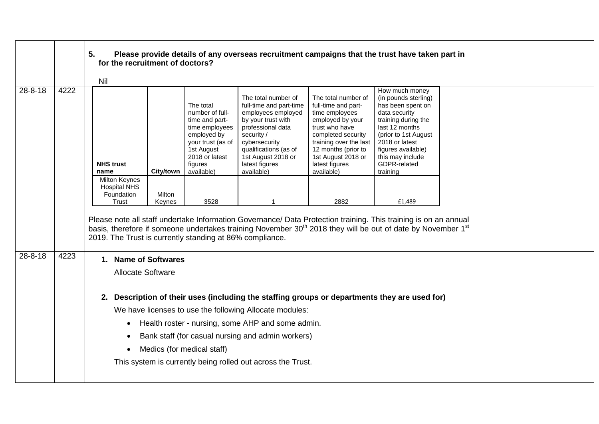|               |      | 5.<br>for the recruitment of doctors?                                                                                                                    |                  |                                                                                                                                                               | Please provide details of any overseas recruitment campaigns that the trust have taken part in                                                                                                                                                         |                                                                                                                                                                                                                                 |                                                                                                                                                                                                                                       |  |  |
|---------------|------|----------------------------------------------------------------------------------------------------------------------------------------------------------|------------------|---------------------------------------------------------------------------------------------------------------------------------------------------------------|--------------------------------------------------------------------------------------------------------------------------------------------------------------------------------------------------------------------------------------------------------|---------------------------------------------------------------------------------------------------------------------------------------------------------------------------------------------------------------------------------|---------------------------------------------------------------------------------------------------------------------------------------------------------------------------------------------------------------------------------------|--|--|
|               |      | Nil                                                                                                                                                      |                  |                                                                                                                                                               |                                                                                                                                                                                                                                                        |                                                                                                                                                                                                                                 |                                                                                                                                                                                                                                       |  |  |
| $28 - 8 - 18$ | 4222 | <b>NHS trust</b><br>name                                                                                                                                 | City/town        | The total<br>number of full-<br>time and part-<br>time employees<br>employed by<br>your trust (as of<br>1st August<br>2018 or latest<br>figures<br>available) | The total number of<br>full-time and part-time<br>employees employed<br>by your trust with<br>professional data<br>security /<br>cybersecurity<br>qualifications (as of<br>1st August 2018 or<br>latest figures<br>available)                          | The total number of<br>full-time and part-<br>time employees<br>employed by your<br>trust who have<br>completed security<br>training over the last<br>12 months (prior to<br>1st August 2018 or<br>latest figures<br>available) | How much money<br>(in pounds sterling)<br>has been spent on<br>data security<br>training during the<br>last 12 months<br>(prior to 1st August<br>2018 or latest<br>figures available)<br>this may include<br>GDPR-related<br>training |  |  |
|               |      | <b>Milton Keynes</b><br><b>Hospital NHS</b><br>Foundation<br>Trust                                                                                       | Milton<br>Keynes | 3528                                                                                                                                                          |                                                                                                                                                                                                                                                        | 2882                                                                                                                                                                                                                            | £1,489                                                                                                                                                                                                                                |  |  |
|               |      | 2019. The Trust is currently standing at 86% compliance.                                                                                                 |                  |                                                                                                                                                               | Please note all staff undertake Information Governance/ Data Protection training. This training is on an annual<br>basis, therefore if someone undertakes training November 30 <sup>th</sup> 2018 they will be out of date by November 1 <sup>st</sup> |                                                                                                                                                                                                                                 |                                                                                                                                                                                                                                       |  |  |
| $28 - 8 - 18$ | 4223 | 1. Name of Softwares                                                                                                                                     |                  |                                                                                                                                                               |                                                                                                                                                                                                                                                        |                                                                                                                                                                                                                                 |                                                                                                                                                                                                                                       |  |  |
|               |      | <b>Allocate Software</b>                                                                                                                                 |                  |                                                                                                                                                               |                                                                                                                                                                                                                                                        |                                                                                                                                                                                                                                 |                                                                                                                                                                                                                                       |  |  |
|               |      | 2. Description of their uses (including the staffing groups or departments they are used for)<br>We have licenses to use the following Allocate modules: |                  |                                                                                                                                                               |                                                                                                                                                                                                                                                        |                                                                                                                                                                                                                                 |                                                                                                                                                                                                                                       |  |  |
|               |      | $\bullet$                                                                                                                                                |                  |                                                                                                                                                               | Health roster - nursing, some AHP and some admin.                                                                                                                                                                                                      |                                                                                                                                                                                                                                 |                                                                                                                                                                                                                                       |  |  |
|               |      |                                                                                                                                                          |                  |                                                                                                                                                               | Bank staff (for casual nursing and admin workers)                                                                                                                                                                                                      |                                                                                                                                                                                                                                 |                                                                                                                                                                                                                                       |  |  |
|               |      |                                                                                                                                                          |                  | Medics (for medical staff)                                                                                                                                    |                                                                                                                                                                                                                                                        |                                                                                                                                                                                                                                 |                                                                                                                                                                                                                                       |  |  |
|               |      |                                                                                                                                                          |                  |                                                                                                                                                               | This system is currently being rolled out across the Trust.                                                                                                                                                                                            |                                                                                                                                                                                                                                 |                                                                                                                                                                                                                                       |  |  |
|               |      |                                                                                                                                                          |                  |                                                                                                                                                               |                                                                                                                                                                                                                                                        |                                                                                                                                                                                                                                 |                                                                                                                                                                                                                                       |  |  |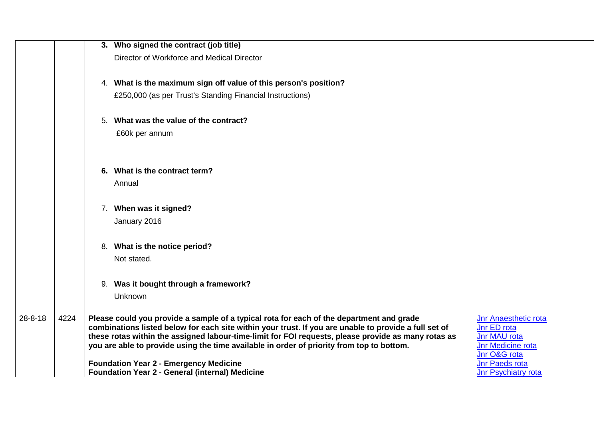|               |      | 3. Who signed the contract (job title)                                                                                                                                                            |                                            |
|---------------|------|---------------------------------------------------------------------------------------------------------------------------------------------------------------------------------------------------|--------------------------------------------|
|               |      | Director of Workforce and Medical Director                                                                                                                                                        |                                            |
|               |      |                                                                                                                                                                                                   |                                            |
|               |      | 4. What is the maximum sign off value of this person's position?                                                                                                                                  |                                            |
|               |      | £250,000 (as per Trust's Standing Financial Instructions)                                                                                                                                         |                                            |
|               |      |                                                                                                                                                                                                   |                                            |
|               |      | 5. What was the value of the contract?                                                                                                                                                            |                                            |
|               |      | £60k per annum                                                                                                                                                                                    |                                            |
|               |      |                                                                                                                                                                                                   |                                            |
|               |      |                                                                                                                                                                                                   |                                            |
|               |      | 6. What is the contract term?                                                                                                                                                                     |                                            |
|               |      | Annual                                                                                                                                                                                            |                                            |
|               |      | 7. When was it signed?                                                                                                                                                                            |                                            |
|               |      |                                                                                                                                                                                                   |                                            |
|               |      | January 2016                                                                                                                                                                                      |                                            |
|               |      | 8. What is the notice period?                                                                                                                                                                     |                                            |
|               |      | Not stated.                                                                                                                                                                                       |                                            |
|               |      |                                                                                                                                                                                                   |                                            |
|               |      | 9. Was it bought through a framework?                                                                                                                                                             |                                            |
|               |      | Unknown                                                                                                                                                                                           |                                            |
|               |      |                                                                                                                                                                                                   |                                            |
| $28 - 8 - 18$ | 4224 | Please could you provide a sample of a typical rota for each of the department and grade<br>combinations listed below for each site within your trust. If you are unable to provide a full set of | <b>Jnr Anaesthetic rota</b><br>Jnr ED rota |
|               |      | these rotas within the assigned labour-time-limit for FOI requests, please provide as many rotas as                                                                                               | Jnr MAU rota                               |
|               |      | you are able to provide using the time available in order of priority from top to bottom.                                                                                                         | Jnr Medicine rota                          |
|               |      |                                                                                                                                                                                                   | Jnr O&G rota                               |
|               |      | <b>Foundation Year 2 - Emergency Medicine</b>                                                                                                                                                     | Jnr Paeds rota                             |
|               |      | <b>Foundation Year 2 - General (internal) Medicine</b>                                                                                                                                            | Jnr Psychiatry rota                        |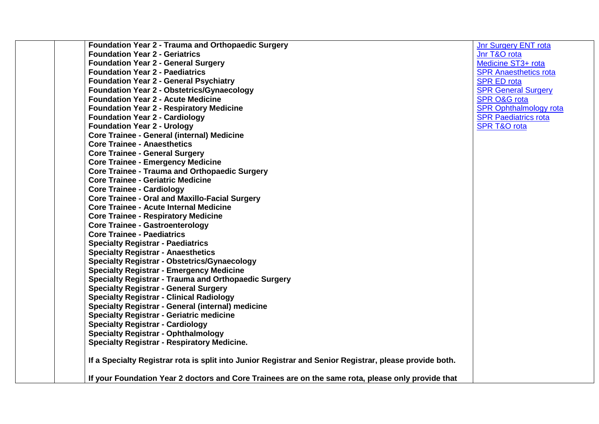| <b>Foundation Year 2 - Trauma and Orthopaedic Surgery</b>                                               | <b>Jnr Surgery ENT rota</b>   |
|---------------------------------------------------------------------------------------------------------|-------------------------------|
| <b>Foundation Year 2 - Geriatrics</b>                                                                   | Jnr T&O rota                  |
| <b>Foundation Year 2 - General Surgery</b>                                                              | Medicine ST3+ rota            |
| <b>Foundation Year 2 - Paediatrics</b>                                                                  | <b>SPR Anaesthetics rota</b>  |
| <b>Foundation Year 2 - General Psychiatry</b>                                                           | <b>SPR ED rota</b>            |
| <b>Foundation Year 2 - Obstetrics/Gynaecology</b>                                                       | <b>SPR General Surgery</b>    |
| <b>Foundation Year 2 - Acute Medicine</b>                                                               | <b>SPR O&amp;G rota</b>       |
| <b>Foundation Year 2 - Respiratory Medicine</b>                                                         | <b>SPR Ophthalmology rota</b> |
| <b>Foundation Year 2 - Cardiology</b>                                                                   | <b>SPR Paediatrics rota</b>   |
| <b>Foundation Year 2 - Urology</b>                                                                      | <b>SPR T&amp;O rota</b>       |
| <b>Core Trainee - General (internal) Medicine</b>                                                       |                               |
| <b>Core Trainee - Anaesthetics</b>                                                                      |                               |
| <b>Core Trainee - General Surgery</b>                                                                   |                               |
| <b>Core Trainee - Emergency Medicine</b>                                                                |                               |
| <b>Core Trainee - Trauma and Orthopaedic Surgery</b>                                                    |                               |
| <b>Core Trainee - Geriatric Medicine</b>                                                                |                               |
| <b>Core Trainee - Cardiology</b>                                                                        |                               |
| <b>Core Trainee - Oral and Maxillo-Facial Surgery</b>                                                   |                               |
| <b>Core Trainee - Acute Internal Medicine</b>                                                           |                               |
| <b>Core Trainee - Respiratory Medicine</b>                                                              |                               |
| <b>Core Trainee - Gastroenterology</b>                                                                  |                               |
| <b>Core Trainee - Paediatrics</b>                                                                       |                               |
| <b>Specialty Registrar - Paediatrics</b>                                                                |                               |
| <b>Specialty Registrar - Anaesthetics</b>                                                               |                               |
| <b>Specialty Registrar - Obstetrics/Gynaecology</b>                                                     |                               |
| <b>Specialty Registrar - Emergency Medicine</b>                                                         |                               |
| <b>Specialty Registrar - Trauma and Orthopaedic Surgery</b>                                             |                               |
| <b>Specialty Registrar - General Surgery</b>                                                            |                               |
| <b>Specialty Registrar - Clinical Radiology</b>                                                         |                               |
| <b>Specialty Registrar - General (internal) medicine</b>                                                |                               |
| <b>Specialty Registrar - Geriatric medicine</b>                                                         |                               |
| <b>Specialty Registrar - Cardiology</b>                                                                 |                               |
| <b>Specialty Registrar - Ophthalmology</b>                                                              |                               |
| <b>Specialty Registrar - Respiratory Medicine.</b>                                                      |                               |
| If a Specialty Registrar rota is split into Junior Registrar and Senior Registrar, please provide both. |                               |
| If your Foundation Year 2 doctors and Core Trainees are on the same rota, please only provide that      |                               |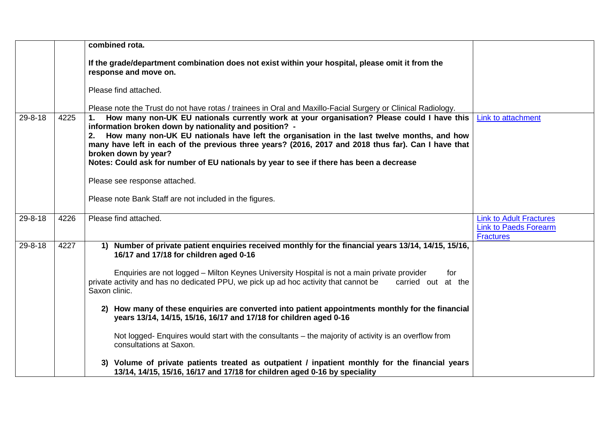|               |      | combined rota.                                                                                                                                                                                                                                                                                                                                                                                                                                                                           |                                                                                    |
|---------------|------|------------------------------------------------------------------------------------------------------------------------------------------------------------------------------------------------------------------------------------------------------------------------------------------------------------------------------------------------------------------------------------------------------------------------------------------------------------------------------------------|------------------------------------------------------------------------------------|
|               |      | If the grade/department combination does not exist within your hospital, please omit it from the<br>response and move on.                                                                                                                                                                                                                                                                                                                                                                |                                                                                    |
|               |      | Please find attached.                                                                                                                                                                                                                                                                                                                                                                                                                                                                    |                                                                                    |
|               |      | Please note the Trust do not have rotas / trainees in Oral and Maxillo-Facial Surgery or Clinical Radiology.                                                                                                                                                                                                                                                                                                                                                                             |                                                                                    |
| $29 - 8 - 18$ | 4225 | How many non-UK EU nationals currently work at your organisation? Please could I have this<br>1.<br>information broken down by nationality and position? -<br>How many non-UK EU nationals have left the organisation in the last twelve months, and how<br>2.<br>many have left in each of the previous three years? (2016, 2017 and 2018 thus far). Can I have that<br>broken down by year?<br>Notes: Could ask for number of EU nationals by year to see if there has been a decrease | Link to attachment                                                                 |
|               |      | Please see response attached.                                                                                                                                                                                                                                                                                                                                                                                                                                                            |                                                                                    |
|               |      | Please note Bank Staff are not included in the figures.                                                                                                                                                                                                                                                                                                                                                                                                                                  |                                                                                    |
| $29 - 8 - 18$ | 4226 | Please find attached.                                                                                                                                                                                                                                                                                                                                                                                                                                                                    | <b>Link to Adult Fractures</b><br><b>Link to Paeds Forearm</b><br><b>Fractures</b> |
| $29 - 8 - 18$ | 4227 | 1) Number of private patient enquiries received monthly for the financial years 13/14, 14/15, 15/16,<br>16/17 and 17/18 for children aged 0-16                                                                                                                                                                                                                                                                                                                                           |                                                                                    |
|               |      | Enquiries are not logged - Milton Keynes University Hospital is not a main private provider<br>for<br>private activity and has no dedicated PPU, we pick up ad hoc activity that cannot be<br>carried out at the<br>Saxon clinic.                                                                                                                                                                                                                                                        |                                                                                    |
|               |      | 2) How many of these enquiries are converted into patient appointments monthly for the financial<br>years 13/14, 14/15, 15/16, 16/17 and 17/18 for children aged 0-16                                                                                                                                                                                                                                                                                                                    |                                                                                    |
|               |      | Not logged- Enquires would start with the consultants – the majority of activity is an overflow from<br>consultations at Saxon.                                                                                                                                                                                                                                                                                                                                                          |                                                                                    |
|               |      | 3) Volume of private patients treated as outpatient / inpatient monthly for the financial years<br>13/14, 14/15, 15/16, 16/17 and 17/18 for children aged 0-16 by speciality                                                                                                                                                                                                                                                                                                             |                                                                                    |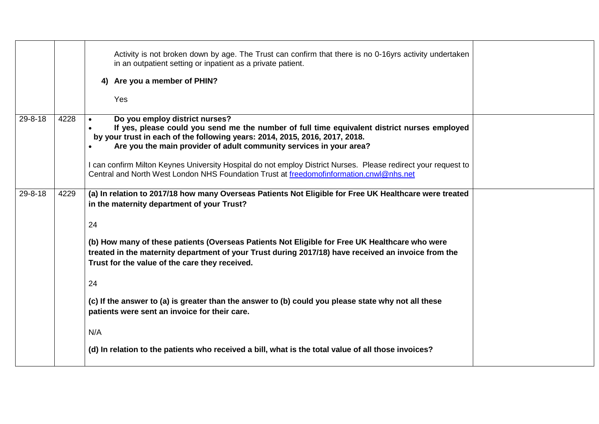|               |      | Activity is not broken down by age. The Trust can confirm that there is no 0-16yrs activity undertaken<br>in an outpatient setting or inpatient as a private patient.<br>4) Are you a member of PHIN?<br>Yes                                                                                                                                                                                                                                                                                                                                                                                                                                                                                      |  |
|---------------|------|---------------------------------------------------------------------------------------------------------------------------------------------------------------------------------------------------------------------------------------------------------------------------------------------------------------------------------------------------------------------------------------------------------------------------------------------------------------------------------------------------------------------------------------------------------------------------------------------------------------------------------------------------------------------------------------------------|--|
| $29 - 8 - 18$ | 4228 | Do you employ district nurses?<br>If yes, please could you send me the number of full time equivalent district nurses employed<br>by your trust in each of the following years: 2014, 2015, 2016, 2017, 2018.<br>Are you the main provider of adult community services in your area?<br>I can confirm Milton Keynes University Hospital do not employ District Nurses. Please redirect your request to<br>Central and North West London NHS Foundation Trust at freedomofinformation.cnwl@nhs.net                                                                                                                                                                                                 |  |
| $29 - 8 - 18$ | 4229 | (a) In relation to 2017/18 how many Overseas Patients Not Eligible for Free UK Healthcare were treated<br>in the maternity department of your Trust?<br>24<br>(b) How many of these patients (Overseas Patients Not Eligible for Free UK Healthcare who were<br>treated in the maternity department of your Trust during 2017/18) have received an invoice from the<br>Trust for the value of the care they received.<br>24<br>(c) If the answer to (a) is greater than the answer to (b) could you please state why not all these<br>patients were sent an invoice for their care.<br>N/A<br>(d) In relation to the patients who received a bill, what is the total value of all those invoices? |  |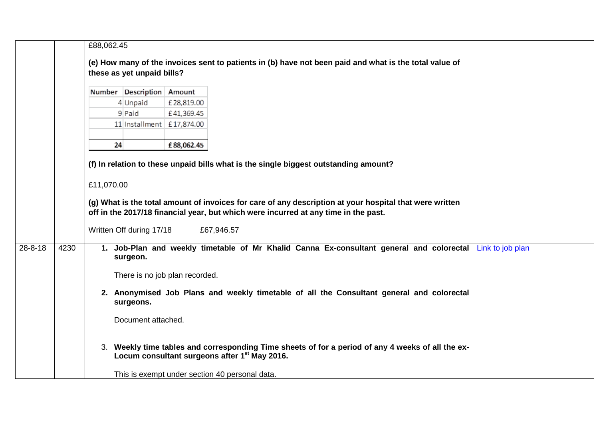|               |      | £88,062.45                 |                           |                                |                                                                                                                                                                |                  |
|---------------|------|----------------------------|---------------------------|--------------------------------|----------------------------------------------------------------------------------------------------------------------------------------------------------------|------------------|
|               |      |                            |                           |                                | (e) How many of the invoices sent to patients in (b) have not been paid and what is the total value of                                                         |                  |
|               |      | these as yet unpaid bills? |                           |                                |                                                                                                                                                                |                  |
|               |      |                            | Number Description Amount |                                |                                                                                                                                                                |                  |
|               |      |                            | 4 Unpaid                  | £28,819.00                     |                                                                                                                                                                |                  |
|               |      |                            | 9 Paid                    | £41,369.45                     |                                                                                                                                                                |                  |
|               |      |                            | 11 Installment £17,874.00 |                                |                                                                                                                                                                |                  |
|               |      |                            |                           |                                |                                                                                                                                                                |                  |
|               |      | 24                         |                           | £88,062.45                     |                                                                                                                                                                |                  |
|               |      |                            |                           |                                | (f) In relation to these unpaid bills what is the single biggest outstanding amount?                                                                           |                  |
|               |      |                            |                           |                                |                                                                                                                                                                |                  |
|               |      | £11,070.00                 |                           |                                |                                                                                                                                                                |                  |
|               |      |                            |                           |                                | (g) What is the total amount of invoices for care of any description at your hospital that were written                                                        |                  |
|               |      |                            |                           |                                | off in the 2017/18 financial year, but which were incurred at any time in the past.                                                                            |                  |
|               |      |                            | Written Off during 17/18  |                                | £67,946.57                                                                                                                                                     |                  |
| $28 - 8 - 18$ | 4230 |                            |                           |                                | 1. Job-Plan and weekly timetable of Mr Khalid Canna Ex-consultant general and colorectal                                                                       | Link to job plan |
|               |      |                            | surgeon.                  |                                |                                                                                                                                                                |                  |
|               |      |                            |                           | There is no job plan recorded. |                                                                                                                                                                |                  |
|               |      |                            | surgeons.                 |                                | 2. Anonymised Job Plans and weekly timetable of all the Consultant general and colorectal                                                                      |                  |
|               |      |                            | Document attached.        |                                |                                                                                                                                                                |                  |
|               |      |                            |                           |                                | 3. Weekly time tables and corresponding Time sheets of for a period of any 4 weeks of all the ex-<br>Locum consultant surgeons after 1 <sup>st</sup> May 2016. |                  |
|               |      |                            |                           |                                | This is exempt under section 40 personal data.                                                                                                                 |                  |
|               |      |                            |                           |                                |                                                                                                                                                                |                  |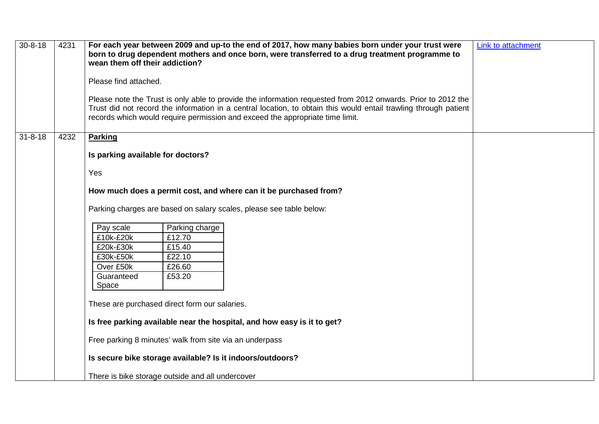| $30 - 8 - 18$ | 4231 | For each year between 2009 and up-to the end of 2017, how many babies born under your trust were<br>born to drug dependent mothers and once born, were transferred to a drug treatment programme to<br>wean them off their addiction?                                                                             | Link to attachment |
|---------------|------|-------------------------------------------------------------------------------------------------------------------------------------------------------------------------------------------------------------------------------------------------------------------------------------------------------------------|--------------------|
|               |      | Please find attached.                                                                                                                                                                                                                                                                                             |                    |
|               |      | Please note the Trust is only able to provide the information requested from 2012 onwards. Prior to 2012 the<br>Trust did not record the information in a central location, to obtain this would entail trawling through patient<br>records which would require permission and exceed the appropriate time limit. |                    |
| $31 - 8 - 18$ | 4232 | <b>Parking</b>                                                                                                                                                                                                                                                                                                    |                    |
|               |      | Is parking available for doctors?                                                                                                                                                                                                                                                                                 |                    |
|               |      | Yes                                                                                                                                                                                                                                                                                                               |                    |
|               |      | How much does a permit cost, and where can it be purchased from?                                                                                                                                                                                                                                                  |                    |
|               |      | Parking charges are based on salary scales, please see table below:                                                                                                                                                                                                                                               |                    |
|               |      | Pay scale<br>Parking charge                                                                                                                                                                                                                                                                                       |                    |
|               |      | £10k-£20k<br>£12.70                                                                                                                                                                                                                                                                                               |                    |
|               |      | £20k-£30k<br>£15.40<br>£30k-£50k<br>£22.10                                                                                                                                                                                                                                                                        |                    |
|               |      | Over £50k<br>£26.60                                                                                                                                                                                                                                                                                               |                    |
|               |      | Guaranteed<br>£53.20<br>Space                                                                                                                                                                                                                                                                                     |                    |
|               |      |                                                                                                                                                                                                                                                                                                                   |                    |
|               |      | These are purchased direct form our salaries.                                                                                                                                                                                                                                                                     |                    |
|               |      | Is free parking available near the hospital, and how easy is it to get?                                                                                                                                                                                                                                           |                    |
|               |      | Free parking 8 minutes' walk from site via an underpass                                                                                                                                                                                                                                                           |                    |
|               |      | Is secure bike storage available? Is it indoors/outdoors?                                                                                                                                                                                                                                                         |                    |
|               |      | There is bike storage outside and all undercover                                                                                                                                                                                                                                                                  |                    |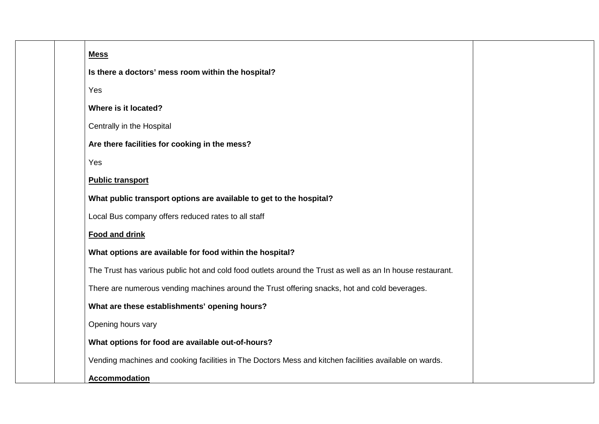| <b>Mess</b>                                                                                                |
|------------------------------------------------------------------------------------------------------------|
| Is there a doctors' mess room within the hospital?                                                         |
| Yes                                                                                                        |
| Where is it located?                                                                                       |
| Centrally in the Hospital                                                                                  |
| Are there facilities for cooking in the mess?                                                              |
| Yes                                                                                                        |
| <b>Public transport</b>                                                                                    |
| What public transport options are available to get to the hospital?                                        |
| Local Bus company offers reduced rates to all staff                                                        |
| <b>Food and drink</b>                                                                                      |
| What options are available for food within the hospital?                                                   |
| The Trust has various public hot and cold food outlets around the Trust as well as an In house restaurant. |
| There are numerous vending machines around the Trust offering snacks, hot and cold beverages.              |
| What are these establishments' opening hours?                                                              |
| Opening hours vary                                                                                         |
| What options for food are available out-of-hours?                                                          |
| Vending machines and cooking facilities in The Doctors Mess and kitchen facilities available on wards.     |
| <b>Accommodation</b>                                                                                       |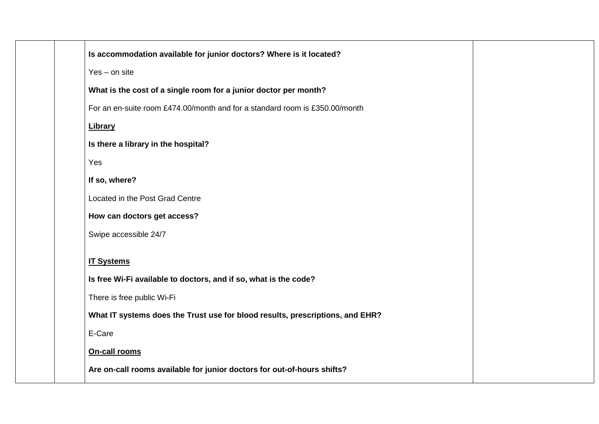| Is accommodation available for junior doctors? Where is it located?           |
|-------------------------------------------------------------------------------|
| $Yes - on site$                                                               |
| What is the cost of a single room for a junior doctor per month?              |
| For an en-suite room £474.00/month and for a standard room is £350.00/month   |
| <b>Library</b>                                                                |
| Is there a library in the hospital?                                           |
| Yes                                                                           |
| If so, where?                                                                 |
| Located in the Post Grad Centre                                               |
| How can doctors get access?                                                   |
| Swipe accessible 24/7                                                         |
| <b>IT Systems</b>                                                             |
| Is free Wi-Fi available to doctors, and if so, what is the code?              |
| There is free public Wi-Fi                                                    |
| What IT systems does the Trust use for blood results, prescriptions, and EHR? |
| E-Care                                                                        |
| On-call rooms                                                                 |
| Are on-call rooms available for junior doctors for out-of-hours shifts?       |
|                                                                               |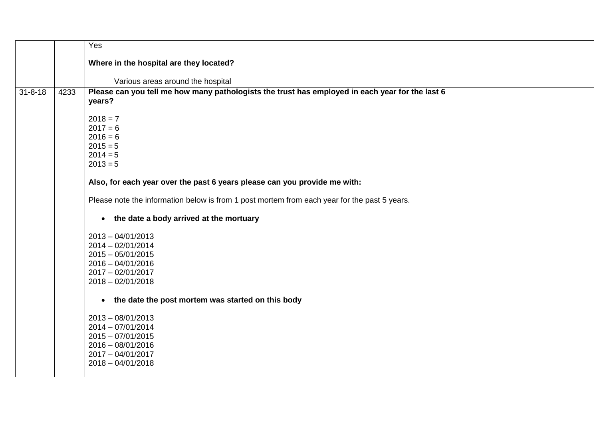|               |      | Yes                                                                                                       |  |
|---------------|------|-----------------------------------------------------------------------------------------------------------|--|
|               |      | Where in the hospital are they located?                                                                   |  |
|               |      | Various areas around the hospital                                                                         |  |
| $31 - 8 - 18$ | 4233 | Please can you tell me how many pathologists the trust has employed in each year for the last 6<br>years? |  |
|               |      | $2018 = 7$                                                                                                |  |
|               |      | $2017 = 6$                                                                                                |  |
|               |      | $2016 = 6$<br>$2015 = 5$                                                                                  |  |
|               |      | $2014 = 5$                                                                                                |  |
|               |      | $2013 = 5$                                                                                                |  |
|               |      | Also, for each year over the past 6 years please can you provide me with:                                 |  |
|               |      | Please note the information below is from 1 post mortem from each year for the past 5 years.              |  |
|               |      | the date a body arrived at the mortuary<br>$\bullet$                                                      |  |
|               |      | $2013 - 04/01/2013$                                                                                       |  |
|               |      | $2014 - 02/01/2014$                                                                                       |  |
|               |      | $2015 - 05/01/2015$                                                                                       |  |
|               |      | $2016 - 04/01/2016$<br>$2017 - 02/01/2017$                                                                |  |
|               |      | $2018 - 02/01/2018$                                                                                       |  |
|               |      |                                                                                                           |  |
|               |      | the date the post mortem was started on this body<br>$\bullet$                                            |  |
|               |      | $2013 - 08/01/2013$                                                                                       |  |
|               |      | $2014 - 07/01/2014$                                                                                       |  |
|               |      | $2015 - 07/01/2015$                                                                                       |  |
|               |      | $2016 - 08/01/2016$<br>2017 - 04/01/2017                                                                  |  |
|               |      | $2018 - 04/01/2018$                                                                                       |  |
|               |      |                                                                                                           |  |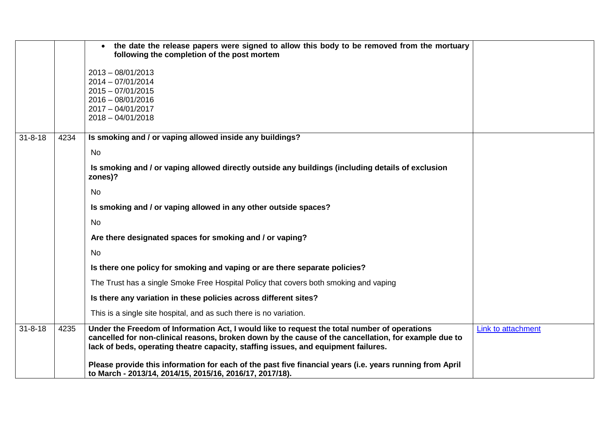|               |      | the date the release papers were signed to allow this body to be removed from the mortuary<br>following the completion of the post mortem                                                                                                                                                  |                    |
|---------------|------|--------------------------------------------------------------------------------------------------------------------------------------------------------------------------------------------------------------------------------------------------------------------------------------------|--------------------|
|               |      | $2013 - 08/01/2013$<br>2014 - 07/01/2014<br>$2015 - 07/01/2015$<br>$2016 - 08/01/2016$<br>$2017 - 04/01/2017$<br>$2018 - 04/01/2018$                                                                                                                                                       |                    |
| $31 - 8 - 18$ | 4234 | Is smoking and / or vaping allowed inside any buildings?                                                                                                                                                                                                                                   |                    |
|               |      | <b>No</b>                                                                                                                                                                                                                                                                                  |                    |
|               |      | Is smoking and / or vaping allowed directly outside any buildings (including details of exclusion<br>zones)?                                                                                                                                                                               |                    |
|               |      | <b>No</b>                                                                                                                                                                                                                                                                                  |                    |
|               |      | Is smoking and / or vaping allowed in any other outside spaces?                                                                                                                                                                                                                            |                    |
|               |      | <b>No</b>                                                                                                                                                                                                                                                                                  |                    |
|               |      | Are there designated spaces for smoking and / or vaping?                                                                                                                                                                                                                                   |                    |
|               |      | <b>No</b>                                                                                                                                                                                                                                                                                  |                    |
|               |      | Is there one policy for smoking and vaping or are there separate policies?                                                                                                                                                                                                                 |                    |
|               |      | The Trust has a single Smoke Free Hospital Policy that covers both smoking and vaping                                                                                                                                                                                                      |                    |
|               |      | Is there any variation in these policies across different sites?                                                                                                                                                                                                                           |                    |
|               |      | This is a single site hospital, and as such there is no variation.                                                                                                                                                                                                                         |                    |
| $31 - 8 - 18$ | 4235 | Under the Freedom of Information Act, I would like to request the total number of operations<br>cancelled for non-clinical reasons, broken down by the cause of the cancellation, for example due to<br>lack of beds, operating theatre capacity, staffing issues, and equipment failures. | Link to attachment |
|               |      | Please provide this information for each of the past five financial years (i.e. years running from April<br>to March - 2013/14, 2014/15, 2015/16, 2016/17, 2017/18).                                                                                                                       |                    |